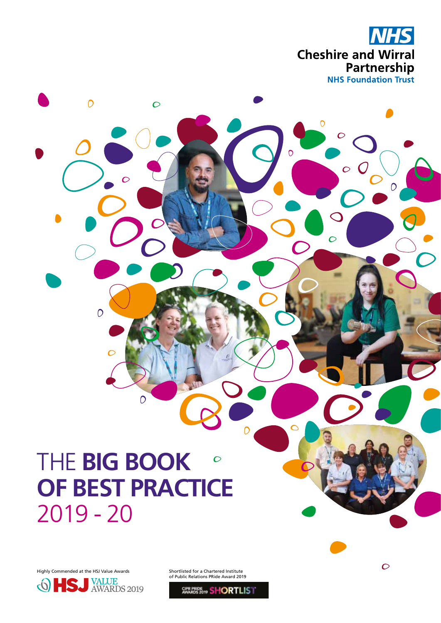

 $\overline{O}$ 

 $\overline{O}$ 

 $\overline{O}$ 

C

 $\Omega$ 

# THE **BIG BOOK**  $\overline{O}$ **OF BEST PRACTICE** 2019 - 20

 $\circ$ 



 $\overline{O}$ 

 $\overline{O}$ 

C

 $\circ$ 

Shortlisted for a Chartered Institute<br>of Public Relations PRide Award 2019

 $\overline{O}$ 

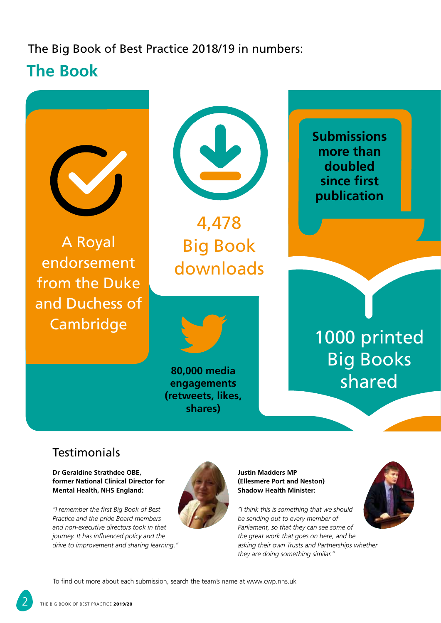# **The Book** The Big Book of Best Practice 2018/19 in numbers:



A Royal endorsement from the Duke and Duchess of **Cambridge** 



4,478 Big Book downloads



**80,000 media engagements (retweets, likes, shares)**

**Submissions more than doubled since first publication**

1000 printed Big Books shared

# **Testimonials**

**Dr Geraldine Strathdee OBE, former National Clinical Director for Mental Health, NHS England:** 

*"I remember the first Big Book of Best Practice and the pride Board members and non-executive directors took in that journey. It has influenced policy and the drive to improvement and sharing learning."* 



**Justin Madders MP (Ellesmere Port and Neston) Shadow Health Minister:**

*"I think this is something that we should be sending out to every member of Parliament, so that they can see some of the great work that goes on here, and be asking their own Trusts and Partnerships whether they are doing something similar."* 

To find out more about each submission, search the team's name at www.cwp.nhs.uk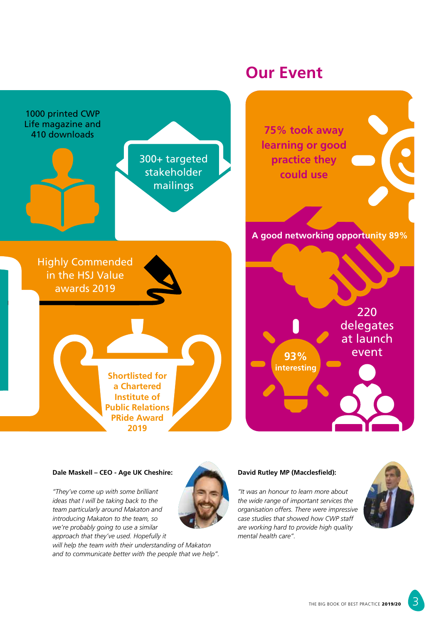

#### **Dale Maskell – CEO - Age UK Cheshire:**

*"They've come up with some brilliant ideas that I will be taking back to the team particularly around Makaton and introducing Makaton to the team, so we're probably going to use a similar* 



#### **David Rutley MP (Macclesfield):**

*"It was an honour to learn more about the wide range of important services the organisation offers. There were impressive case studies that showed how CWP staff are working hard to provide high quality mental health care".* 

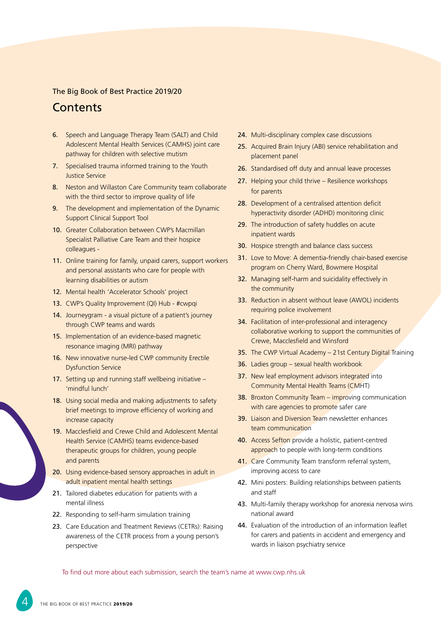#### The Big Book of Best Practice 2019/20

### **Contents**

- 6. Speech and Language Therapy Team (SALT) and Child Adolescent Mental Health Services (CAMHS) joint care pathway for children with selective mutism
- 7. Specialised trauma informed training to the Youth Justice Service
- 8. Neston and Willaston Care Community team collaborate with the third sector to improve quality of life
- 9. The development and implementation of the Dynamic Support Clinical Support Tool
- 10. Greater Collaboration between CWP's Macmillan Specialist Palliative Care Team and their hospice colleagues -
- 11. Online training for family, unpaid carers, support workers and personal assistants who care for people with learning disabilities or autism
- 12. Mental health 'Accelerator Schools' project
- 13. CWP's Quality Improvement (QI) Hub #cwpqi
- 14. Journeygram a visual picture of a patient's journey through CWP teams and wards
- 15. Implementation of an evidence-based magnetic resonance imaging (MRI) pathway
- 16. New innovative nurse-led CWP community Erectile Dysfunction Service
- 17. Setting up and running staff wellbeing initiative 'mindful lunch'
- 18. Using social media and making adjustments to safety brief meetings to improve efficiency of working and increase capacity
- 19. Macclesfield and Crewe Child and Adolescent Mental Health Service (CAMHS) teams evidence-based therapeutic groups for children, young people and parents
- 20. Using evidence-based sensory approaches in adult in adult inpatient mental health settings
- 21. Tailored diabetes education for patients with a mental illness
- 22. Responding to self-harm simulation training
- 23. Care Education and Treatment Reviews (CETRs): Raising awareness of the CETR process from a young person's perspective
- 24. Multi-disciplinary complex case discussions
- 25. Acquired Brain Injury (ABI) service rehabilitation and placement panel
- 26. Standardised off duty and annual leave processes
- 27. Helping your child thrive Resilience workshops for parents
- 28. Development of a centralised attention deficit hyperactivity disorder (ADHD) monitoring clinic
- 29. The introduction of safety huddles on acute inpatient wards
- 30. Hospice strength and balance class success
- 31. Love to Move: A dementia-friendly chair-based exercise program on Cherry Ward, Bowmere Hospital
- 32. Managing self-harm and suicidality effectively in the community
- 33. Reduction in absent without leave (AWOL) incidents requiring police involvement
- 34. Facilitation of inter-professional and interagency collaborative working to support the communities of Crewe, Macclesfield and Winsford
- 35. The CWP Virtual Academy 21st Century Digital Training
- 36. Ladies group sexual health workbook
- 37. New leaf employment advisors integrated into Community Mental Health Teams (CMHT)
- 38. Broxton Community Team improving communication with care agencies to promote safer care
- 39. Liaison and Diversion Team newsletter enhances team communication
- 40. Access Sefton provide a holistic, patient-centred approach to people with long-term conditions
- 41. Care Community Team transform referral system, improving access to care
- 42. Mini posters: Building relationships between patients and staff
- 43. Multi-family therapy workshop for anorexia nervosa wins national award
- 44. Evaluation of the introduction of an information leaflet for carers and patients in accident and emergency and wards in liaison psychiatry service

To find out more about each submission, search the team's name at www.cwp.nhs.uk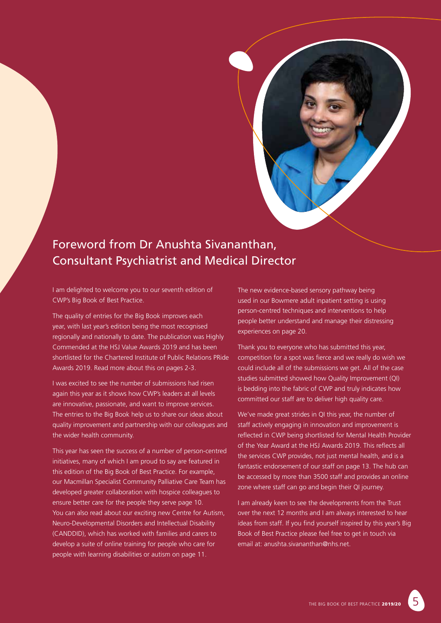# Foreword from Dr Anushta Sivananthan, Consultant Psychiatrist and Medical Director

I am delighted to welcome you to our seventh edition of CWP's Big Book of Best Practice.

The quality of entries for the Big Book improves each year, with last year's edition being the most recognised regionally and nationally to date. The publication was Highly Commended at the HSJ Value Awards 2019 and has been shortlisted for the Chartered Institute of Public Relations PRide Awards 2019. Read more about this on pages 2-3.

I was excited to see the number of submissions had risen again this year as it shows how CWP's leaders at all levels are innovative, passionate, and want to improve services. The entries to the Big Book help us to share our ideas about quality improvement and partnership with our colleagues and the wider health community.

This year has seen the success of a number of person-centred initiatives, many of which I am proud to say are featured in this edition of the Big Book of Best Practice. For example, our Macmillan Specialist Community Palliative Care Team has developed greater collaboration with hospice colleagues to ensure better care for the people they serve page 10. You can also read about our exciting new Centre for Autism, Neuro-Developmental Disorders and Intellectual Disability (CANDDID), which has worked with families and carers to develop a suite of online training for people who care for people with learning disabilities or autism on page 11.

The new evidence-based sensory pathway being used in our Bowmere adult inpatient setting is using person-centred techniques and interventions to help people better understand and manage their distressing experiences on page 20.

Thank you to everyone who has submitted this year, competition for a spot was fierce and we really do wish we could include all of the submissions we get. All of the case studies submitted showed how Quality Improvement (QI) is bedding into the fabric of CWP and truly indicates how committed our staff are to deliver high quality care.

We've made great strides in QI this year, the number of staff actively engaging in innovation and improvement is reflected in CWP being shortlisted for Mental Health Provider of the Year Award at the HSJ Awards 2019. This reflects all the services CWP provides, not just mental health, and is a fantastic endorsement of our staff on page 13. The hub can be accessed by more than 3500 staff and provides an online zone where staff can go and begin their QI journey.

I am already keen to see the developments from the Trust over the next 12 months and I am always interested to hear ideas from staff. If you find yourself inspired by this year's Big Book of Best Practice please feel free to get in touch via email at: anushta.sivananthan@nhs.net.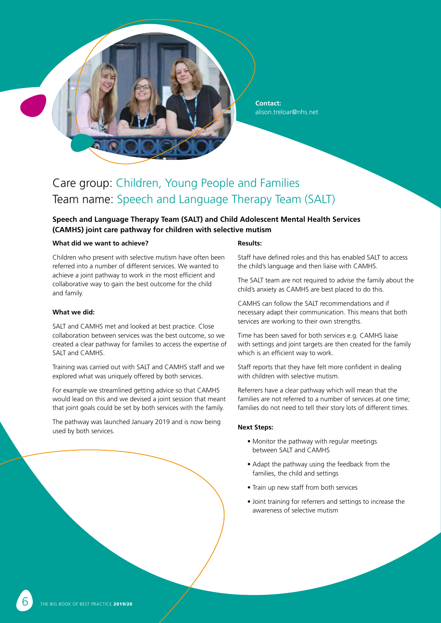

alison.treloar@nhs.net

# Care group: Children, Young People and Families Team name: Speech and Language Therapy Team (SALT)

### **Speech and Language Therapy Team (SALT) and Child Adolescent Mental Health Services (CAMHS) joint care pathway for children with selective mutism**

#### **What did we want to achieve?**

Children who present with selective mutism have often been referred into a number of different services. We wanted to achieve a joint pathway to work in the most efficient and collaborative way to gain the best outcome for the child and family.

#### **What we did:**

SALT and CAMHS met and looked at best practice. Close collaboration between services was the best outcome, so we created a clear pathway for families to access the expertise of SALT and CAMHS.

Training was carried out with SALT and CAMHS staff and we explored what was uniquely offered by both services.

For example we streamlined getting advice so that CAMHS would lead on this and we devised a joint session that meant that joint goals could be set by both services with the family.

The pathway was launched January 2019 and is now being used by both services.

#### **Results:**

Staff have defined roles and this has enabled SALT to access the child's language and then liaise with CAMHS.

The SALT team are not required to advise the family about the child's anxiety as CAMHS are best placed to do this.

CAMHS can follow the SALT recommendations and if necessary adapt their communication. This means that both services are working to their own strengths.

Time has been saved for both services e.g. CAMHS liaise with settings and joint targets are then created for the family which is an efficient way to work.

Staff reports that they have felt more confident in dealing with children with selective mutism.

Referrers have a clear pathway which will mean that the families are not referred to a number of services at one time; families do not need to tell their story lots of different times.

#### **Next Steps:**

- Monitor the pathway with regular meetings between SALT and CAMHS
- Adapt the pathway using the feedback from the families, the child and settings
- Train up new staff from both services
- Joint training for referrers and settings to increase the awareness of selective mutism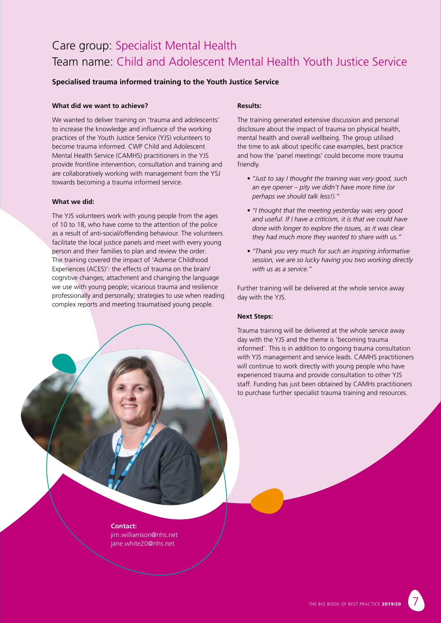# Care group: Specialist Mental Health Team name: Child and Adolescent Mental Health Youth Justice Service

### **Specialised trauma informed training to the Youth Justice Service**

#### **What did we want to achieve?**

We wanted to deliver training on 'trauma and adolescents' to increase the knowledge and influence of the working practices of the Youth Justice Service (YJS) volunteers to become trauma informed. CWP Child and Adolescent Mental Health Service (CAMHS) practitioners in the YJS provide frontline intervention, consultation and training and are collaboratively working with management from the YSJ towards becoming a trauma informed service.

#### **What we did:**

The YJS volunteers work with young people from the ages of 10 to 18, who have come to the attention of the police as a result of anti-social/offending behaviour. The volunteers facilitate the local justice panels and meet with every young person and their families to plan and review the order. The training covered the impact of 'Adverse Childhood Experiences (ACES)': the effects of trauma on the brain/ cognitive changes; attachment and changing the language we use with young people; vicarious trauma and resilience professionally and personally; strategies to use when reading complex reports and meeting traumatised young people.

#### **Results:**

The training generated extensive discussion and personal disclosure about the impact of trauma on physical health, mental health and overall wellbeing. The group utilised the time to ask about specific case examples, best practice and how the 'panel meetings' could become more trauma friendly.

- *"Just to say I thought the training was very good, such an eye opener – pity we didn't have more time (or perhaps we should talk less!)."*
- *"I thought that the meeting yesterday was very good and useful. If I have a criticism, it is that we could have done with longer to explore the issues, as it was clear they had much more they wanted to share with us."*
- *"Thank you very much for such an inspiring informative session, we are so lucky having you two working directly with us as a service."*

Further training will be delivered at the whole service away day with the YJS.

#### **Next Steps:**

Trauma training will be delivered at the whole service away day with the YJS and the theme is 'becoming trauma informed'. This is in addition to ongoing trauma consultation with YJS management and service leads. CAMHS practitioners will continue to work directly with young people who have experienced trauma and provide consultation to other YJS staff. Funding has just been obtained by CAMHs practitioners to purchase further specialist trauma training and resources.

#### **Contact:**

jim.williamson@nhs.net jane.white20@nhs.net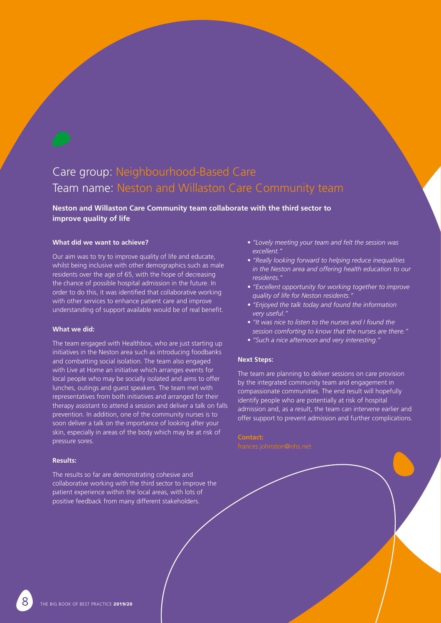# Care group: Neighbourhood-Based Care Team name: Neston and Willaston Care Community team

### **Neston and Willaston Care Community team collaborate with the third sector to improve quality of life**

#### **What did we want to achieve?**

Our aim was to try to improve quality of life and educate, whilst being inclusive with other demographics such as male residents over the age of 65, with the hope of decreasing the chance of possible hospital admission in the future. In order to do this, it was identified that collaborative working with other services to enhance patient care and improve understanding of support available would be of real benefit.

#### **What we did:**

The team engaged with Healthbox, who are just starting up initiatives in the Neston area such as introducing foodbanks and combatting social isolation. The team also engaged with Live at Home an initiative which arranges events for local people who may be socially isolated and aims to offer lunches, outings and guest speakers. The team met with representatives from both initiatives and arranged for their therapy assistant to attend a session and deliver a talk on falls prevention. In addition, one of the community nurses is to soon deliver a talk on the importance of looking after your skin, especially in areas of the body which may be at risk of pressure sores.

**Results:**

The results so far are demonstrating cohesive and collaborative working with the third sector to improve the patient experience within the local areas, with lots of positive feedback from many different stakeholders.

- *"Lovely meeting your team and felt the session was excellent."*
- *"Really looking forward to helping reduce inequalities in the Neston area and offering health education to our residents."*
- *"Excellent opportunity for working together to improve quality of life for Neston residents."*
- *"Enjoyed the talk today and found the information very useful."*
- *"It was nice to listen to the nurses and I found the session comforting to know that the nurses are there."*
- *"Such a nice afternoon and very interesting."*

### **Next Steps:**

The team are planning to deliver sessions on care provision by the integrated community team and engagement in compassionate communities. The end result will hopefully identify people who are potentially at risk of hospital admission and, as a result, the team can intervene earlier and offer support to prevent admission and further complications.

### **Contact:**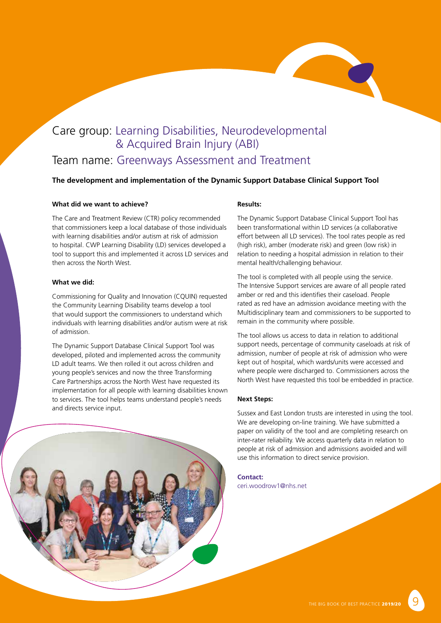## Care group: Learning Disabilities, Neurodevelopmental & Acquired Brain Injury (ABI)

### Team name: Greenways Assessment and Treatment

### **The development and implementation of the Dynamic Support Database Clinical Support Tool**

#### **What did we want to achieve?**

The Care and Treatment Review (CTR) policy recommended that commissioners keep a local database of those individuals with learning disabilities and/or autism at risk of admission to hospital. CWP Learning Disability (LD) services developed a tool to support this and implemented it across LD services and then across the North West.

#### **What we did:**

Commissioning for Quality and Innovation (CQUIN) requested the Community Learning Disability teams develop a tool that would support the commissioners to understand which individuals with learning disabilities and/or autism were at risk of admission.

The Dynamic Support Database Clinical Support Tool was developed, piloted and implemented across the community LD adult teams. We then rolled it out across children and young people's services and now the three Transforming Care Partnerships across the North West have requested its implementation for all people with learning disabilities known to services. The tool helps teams understand people's needs and directs service input.

#### **Results:**

The Dynamic Support Database Clinical Support Tool has been transformational within LD services (a collaborative effort between all LD services). The tool rates people as red (high risk), amber (moderate risk) and green (low risk) in relation to needing a hospital admission in relation to their mental health/challenging behaviour.

The tool is completed with all people using the service. The Intensive Support services are aware of all people rated amber or red and this identifies their caseload. People rated as red have an admission avoidance meeting with the Multidisciplinary team and commissioners to be supported to remain in the community where possible.

The tool allows us access to data in relation to additional support needs, percentage of community caseloads at risk of admission, number of people at risk of admission who were kept out of hospital, which wards/units were accessed and where people were discharged to. Commissioners across the North West have requested this tool be embedded in practice.

#### **Next Steps:**

Sussex and East London trusts are interested in using the tool. We are developing on-line training. We have submitted a paper on validity of the tool and are completing research on inter-rater reliability. We access quarterly data in relation to people at risk of admission and admissions avoided and will use this information to direct service provision.

**Contact:** ceri.woodrow1@nhs.net

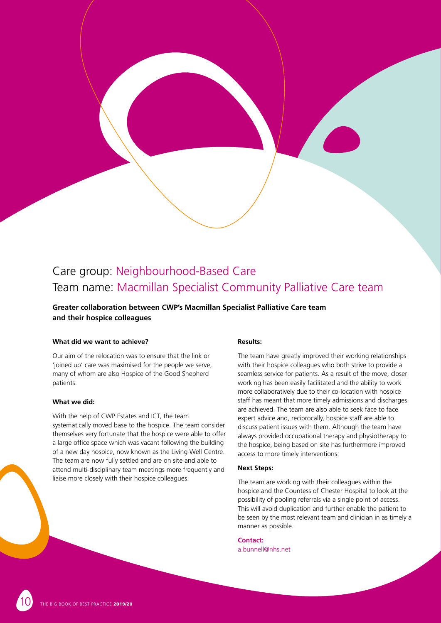# Care group: Neighbourhood-Based Care Team name: Macmillan Specialist Community Palliative Care team

**Greater collaboration between CWP's Macmillan Specialist Palliative Care team and their hospice colleagues**

#### **What did we want to achieve?**

Our aim of the relocation was to ensure that the link or 'joined up' care was maximised for the people we serve, many of whom are also Hospice of the Good Shepherd patients.

#### **What we did:**

With the help of CWP Estates and ICT, the team systematically moved base to the hospice. The team consider themselves very fortunate that the hospice were able to offer a large office space which was vacant following the building of a new day hospice, now known as the Living Well Centre. The team are now fully settled and are on site and able to attend multi-disciplinary team meetings more frequently and liaise more closely with their hospice colleagues.

#### **Results:**

The team have greatly improved their working relationships with their hospice colleagues who both strive to provide a seamless service for patients. As a result of the move, closer working has been easily facilitated and the ability to work more collaboratively due to their co-location with hospice staff has meant that more timely admissions and discharges are achieved. The team are also able to seek face to face expert advice and, reciprocally, hospice staff are able to discuss patient issues with them. Although the team have always provided occupational therapy and physiotherapy to the hospice, being based on site has furthermore improved access to more timely interventions.

#### **Next Steps:**

The team are working with their colleagues within the hospice and the Countess of Chester Hospital to look at the possibility of pooling referrals via a single point of access. This will avoid duplication and further enable the patient to be seen by the most relevant team and clinician in as timely a manner as possible.

**Contact:** a.bunnell@nhs.net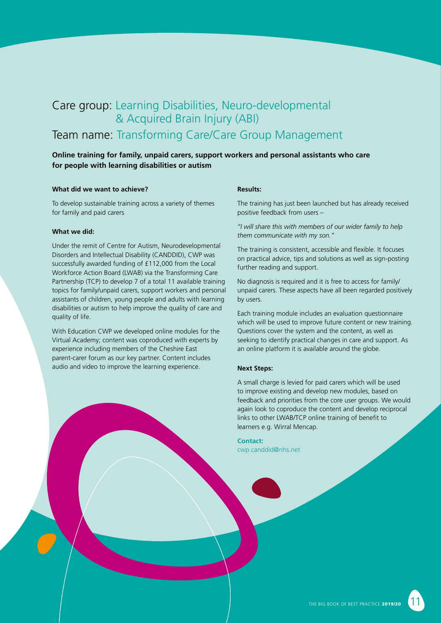## Care group: Learning Disabilities, Neuro-developmental & Acquired Brain Injury (ABI)

### Team name: Transforming Care/Care Group Management

### **Online training for family, unpaid carers, support workers and personal assistants who care for people with learning disabilities or autism**

#### **What did we want to achieve?**

To develop sustainable training across a variety of themes for family and paid carers

#### **What we did:**

Under the remit of Centre for Autism, Neurodevelopmental Disorders and Intellectual Disability (CANDDID), CWP was successfully awarded funding of £112,000 from the Local Workforce Action Board (LWAB) via the Transforming Care Partnership (TCP) to develop 7 of a total 11 available training topics for family/unpaid carers, support workers and personal assistants of children, young people and adults with learning disabilities or autism to help improve the quality of care and quality of life.

With Education CWP we developed online modules for the Virtual Academy; content was coproduced with experts by experience including members of the Cheshire East parent-carer forum as our key partner. Content includes audio and video to improve the learning experience.

#### **Results:**

The training has just been launched but has already received positive feedback from users –

*"I will share this with members of our wider family to help them communicate with my son."* 

The training is consistent, accessible and flexible. It focuses on practical advice, tips and solutions as well as sign-posting further reading and support.

No diagnosis is required and it is free to access for family/ unpaid carers. These aspects have all been regarded positively by users.

Each training module includes an evaluation questionnaire which will be used to improve future content or new training. Questions cover the system and the content, as well as seeking to identify practical changes in care and support. As an online platform it is available around the globe.

#### **Next Steps:**

A small charge is levied for paid carers which will be used to improve existing and develop new modules, based on feedback and priorities from the core user groups. We would again look to coproduce the content and develop reciprocal links to other LWAB/TCP online training of benefit to learners e.g. Wirral Mencap.

**Contact:** cwp.canddid@nhs.net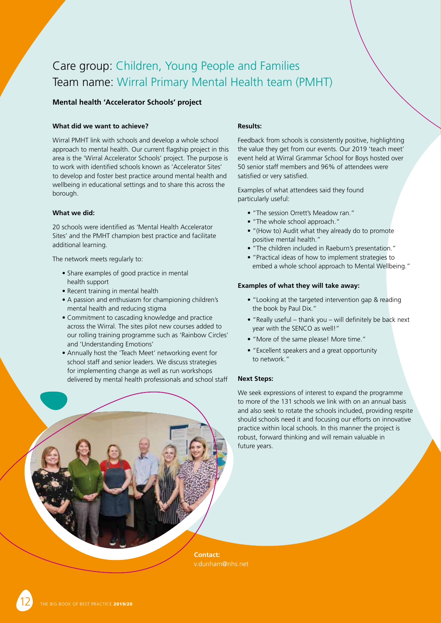# Care group: Children, Young People and Families Team name: Wirral Primary Mental Health team (PMHT)

### **Mental health 'Accelerator Schools' project**

#### **What did we want to achieve?**

Wirral PMHT link with schools and develop a whole school approach to mental health. Our current flagship project in this area is the 'Wirral Accelerator Schools' project. The purpose is to work with identified schools known as 'Accelerator Sites' to develop and foster best practice around mental health and wellbeing in educational settings and to share this across the borough.

#### **What we did:**

20 schools were identified as 'Mental Health Accelerator Sites' and the PMHT champion best practice and facilitate additional learning.

The network meets regularly to:

- Share examples of good practice in mental health support
- Recent training in mental health
- A passion and enthusiasm for championing children's mental health and reducing stigma
- Commitment to cascading knowledge and practice across the Wirral. The sites pilot new courses added to our rolling training programme such as 'Rainbow Circles' and 'Understanding Emotions'
- Annually host the 'Teach Meet' networking event for school staff and senior leaders. We discuss strategies for implementing change as well as run workshops delivered by mental health professionals and school staff

#### **Results:**

Feedback from schools is consistently positive, highlighting the value they get from our events. Our 2019 'teach meet' event held at Wirral Grammar School for Boys hosted over 50 senior staff members and 96% of attendees were satisfied or very satisfied.

Examples of what attendees said they found particularly useful:

- "The session Orrett's Meadow ran."
- "The whole school approach."
- "(How to) Audit what they already do to promote positive mental health."
- "The children included in Raeburn's presentation."
- "Practical ideas of how to implement strategies to embed a whole school approach to Mental Wellbeing."

#### **Examples of what they will take away:**

- "Looking at the targeted intervention gap & reading the book by Paul Dix."
- "Really useful thank you will definitely be back next year with the SENCO as well!"
- "More of the same please! More time."
- "Excellent speakers and a great opportunity to network."

### **Next Steps:**

We seek expressions of interest to expand the programme to more of the 131 schools we link with on an annual basis and also seek to rotate the schools included, providing respite should schools need it and focusing our efforts on innovative practice within local schools. In this manner the project is robust, forward thinking and will remain valuable in future years.

**Contact:** v.dunham@nhs.net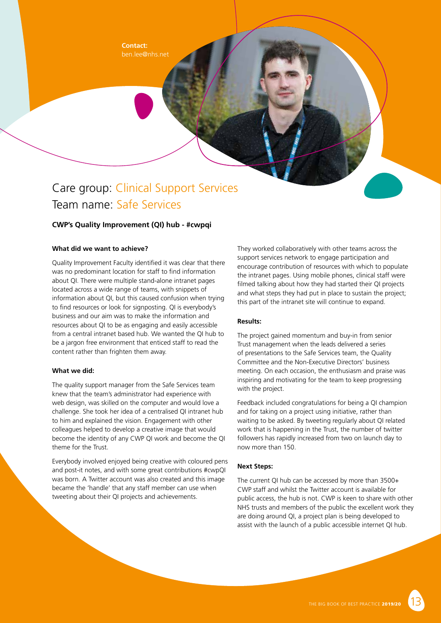**Contact:** ben.lee@nhs.net

# Care group: Clinical Support Services Team name: Safe Services

#### **CWP's Quality Improvement (QI) hub - #cwpqi**

#### **What did we want to achieve?**

Quality Improvement Faculty identified it was clear that there was no predominant location for staff to find information about QI. There were multiple stand-alone intranet pages located across a wide range of teams, with snippets of information about QI, but this caused confusion when trying to find resources or look for signposting. QI is everybody's business and our aim was to make the information and resources about QI to be as engaging and easily accessible from a central intranet based hub. We wanted the QI hub to be a jargon free environment that enticed staff to read the content rather than frighten them away.

#### **What we did:**

The quality support manager from the Safe Services team knew that the team's administrator had experience with web design, was skilled on the computer and would love a challenge. She took her idea of a centralised QI intranet hub to him and explained the vision. Engagement with other colleagues helped to develop a creative image that would become the identity of any CWP QI work and become the QI theme for the Trust.

Everybody involved enjoyed being creative with coloured pens and post-it notes, and with some great contributions #cwpQI was born. A Twitter account was also created and this image became the 'handle' that any staff member can use when tweeting about their QI projects and achievements.

They worked collaboratively with other teams across the support services network to engage participation and encourage contribution of resources with which to populate the intranet pages. Using mobile phones, clinical staff were filmed talking about how they had started their QI projects and what steps they had put in place to sustain the project; this part of the intranet site will continue to expand.

#### **Results:**

The project gained momentum and buy-in from senior Trust management when the leads delivered a series of presentations to the Safe Services team, the Quality Committee and the Non-Executive Directors' business meeting. On each occasion, the enthusiasm and praise was inspiring and motivating for the team to keep progressing with the project.

Feedback included congratulations for being a QI champion and for taking on a project using initiative, rather than waiting to be asked. By tweeting regularly about QI related work that is happening in the Trust, the number of twitter followers has rapidly increased from two on launch day to now more than 150.

#### **Next Steps:**

The current QI hub can be accessed by more than 3500+ CWP staff and whilst the Twitter account is available for public access, the hub is not. CWP is keen to share with other NHS trusts and members of the public the excellent work they are doing around QI, a project plan is being developed to assist with the launch of a public accessible internet QI hub.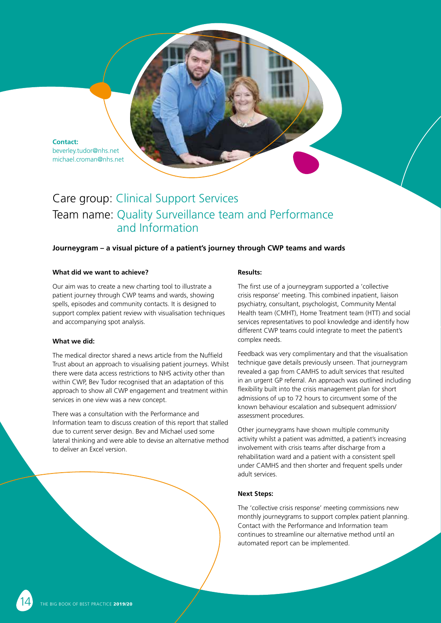**Contact:** beverley.tudor@nhs.net michael.croman@nhs.net

# Care group: Clinical Support Services Team name: Quality Surveillance team and Performance and Information

### **Journeygram – a visual picture of a patient's journey through CWP teams and wards**

#### **What did we want to achieve?**

Our aim was to create a new charting tool to illustrate a patient journey through CWP teams and wards, showing spells, episodes and community contacts. It is designed to support complex patient review with visualisation techniques and accompanying spot analysis.

#### **What we did:**

The medical director shared a news article from the Nuffield Trust about an approach to visualising patient journeys. Whilst there were data access restrictions to NHS activity other than within CWP, Bev Tudor recognised that an adaptation of this approach to show all CWP engagement and treatment within services in one view was a new concept.

There was a consultation with the Performance and Information team to discuss creation of this report that stalled due to current server design. Bev and Michael used some lateral thinking and were able to devise an alternative method to deliver an Excel version.

#### **Results:**

The first use of a journeygram supported a 'collective crisis response' meeting. This combined inpatient, liaison psychiatry, consultant, psychologist, Community Mental Health team (CMHT), Home Treatment team (HTT) and social services representatives to pool knowledge and identify how different CWP teams could integrate to meet the patient's complex needs.

Feedback was very complimentary and that the visualisation technique gave details previously unseen. That journeygram revealed a gap from CAMHS to adult services that resulted in an urgent GP referral. An approach was outlined including flexibility built into the crisis management plan for short admissions of up to 72 hours to circumvent some of the known behaviour escalation and subsequent admission/ assessment procedures.

Other journeygrams have shown multiple community activity whilst a patient was admitted, a patient's increasing involvement with crisis teams after discharge from a rehabilitation ward and a patient with a consistent spell under CAMHS and then shorter and frequent spells under adult services.

#### **Next Steps:**

The 'collective crisis response' meeting commissions new monthly journeygrams to support complex patient planning. Contact with the Performance and Information team continues to streamline our alternative method until an automated report can be implemented.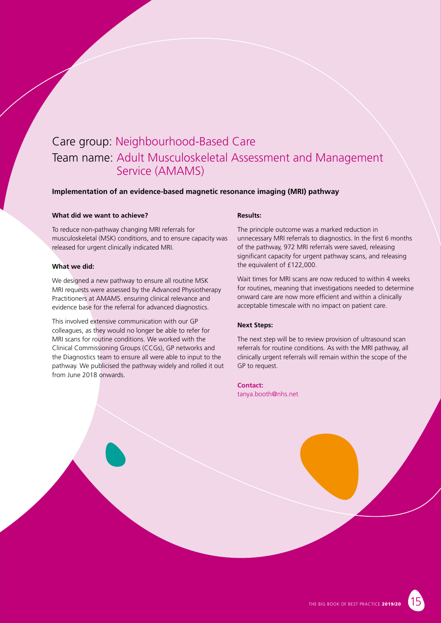# Care group: Neighbourhood-Based Care Team name: Adult Musculoskeletal Assessment and Management Service (AMAMS)

### **Implementation of an evidence-based magnetic resonance imaging (MRI) pathway**

#### **What did we want to achieve?**

To reduce non-pathway changing MRI referrals for musculoskeletal (MSK) conditions, and to ensure capacity was released for urgent clinically indicated MRI.

#### **What we did:**

We designed a new pathway to ensure all routine MSK MRI requests were assessed by the Advanced Physiotherapy Practitioners at AMAMS. ensuring clinical relevance and evidence base for the referral for advanced diagnostics.

This involved extensive communication with our GP colleagues, as they would no longer be able to refer for MRI scans for routine conditions. We worked with the Clinical Commissioning Groups (CCGs), GP networks and the Diagnostics team to ensure all were able to input to the pathway. We publicised the pathway widely and rolled it out from June 2018 onwards.

#### **Results:**

The principle outcome was a marked reduction in unnecessary MRI referrals to diagnostics. In the first 6 months of the pathway, 972 MRI referrals were saved, releasing significant capacity for urgent pathway scans, and releasing the equivalent of £122,000.

Wait times for MRI scans are now reduced to within 4 weeks for routines, meaning that investigations needed to determine onward care are now more efficient and within a clinically acceptable timescale with no impact on patient care.

#### **Next Steps:**

The next step will be to review provision of ultrasound scan referrals for routine conditions. As with the MRI pathway, all clinically urgent referrals will remain within the scope of the GP to request.

#### **Contact:**

tanya.booth@nhs.net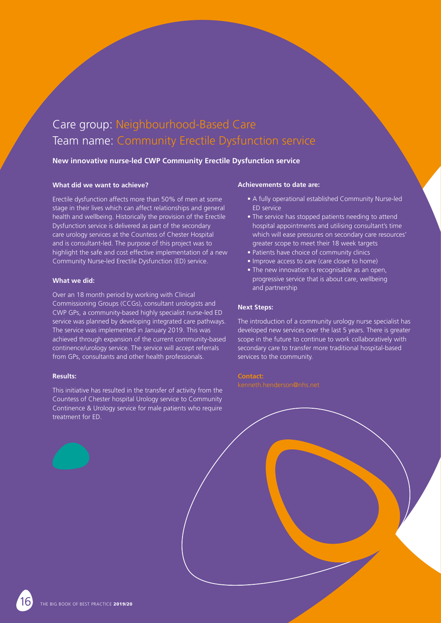# Care group: Neighbourhood-Based Care Team name: Community Erectile Dysfunction service

### **New innovative nurse-led CWP Community Erectile Dysfunction service**

#### **What did we want to achieve?**

Erectile dysfunction affects more than 50% of men at some stage in their lives which can affect relationships and general health and wellbeing. Historically the provision of the Erectile Dysfunction service is delivered as part of the secondary care urology services at the Countess of Chester Hospital and is consultant-led. The purpose of this project was to highlight the safe and cost effective implementation of a new Community Nurse-led Erectile Dysfunction (ED) service.

#### **What we did:**

Over an 18 month period by working with Clinical Commissioning Groups (CCGs), consultant urologists and CWP GPs, a community-based highly specialist nurse-led ED service was planned by developing integrated care pathways. The service was implemented in January 2019. This was achieved through expansion of the current community-based continence/urology service. The service will accept referrals from GPs, consultants and other health professionals.

#### **Results:**

This initiative has resulted in the transfer of activity from the Countess of Chester hospital Urology service to Community Continence & Urology service for male patients who require treatment for ED.

#### **Achievements to date are:**

- A fully operational established Community Nurse-led ED service
- The service has stopped patients needing to attend hospital appointments and utilising consultant's time which will ease pressures on secondary care resources' greater scope to meet their 18 week targets
- Patients have choice of community clinics
- Improve access to care (care closer to home)
- The new innovation is recognisable as an open, progressive service that is about care, wellbeing and partnership

#### **Next Steps:**

The introduction of a community urology nurse specialist has developed new services over the last 5 years. There is greater scope in the future to continue to work collaboratively with secondary care to transfer more traditional hospital-based services to the community.

#### **Contact:**

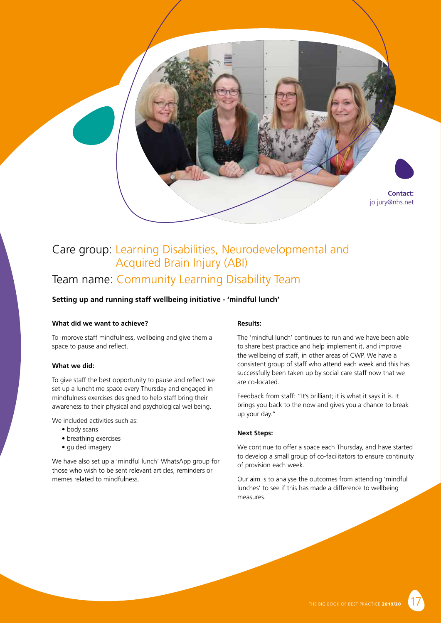

# Care group: Learning Disabilities, Neurodevelopmental and Acquired Brain Injury (ABI)

### Team name: Community Learning Disability Team

### **Setting up and running staff wellbeing initiative - 'mindful lunch'**

#### **What did we want to achieve?**

To improve staff mindfulness, wellbeing and give them a space to pause and reflect.

#### **What we did:**

To give staff the best opportunity to pause and reflect we set up a lunchtime space every Thursday and engaged in mindfulness exercises designed to help staff bring their awareness to their physical and psychological wellbeing.

We included activities such as:

- body scans
- breathing exercises
- guided imagery

We have also set up a 'mindful lunch' WhatsApp group for those who wish to be sent relevant articles, reminders or memes related to mindfulness.

#### **Results:**

The 'mindful lunch' continues to run and we have been able to share best practice and help implement it, and improve the wellbeing of staff, in other areas of CWP. We have a consistent group of staff who attend each week and this has successfully been taken up by social care staff now that we are co-located.

Feedback from staff: "It's brilliant; it is what it says it is. It brings you back to the now and gives you a chance to break up your day."

#### **Next Steps:**

We continue to offer a space each Thursday, and have started to develop a small group of co-facilitators to ensure continuity of provision each week.

Our aim is to analyse the outcomes from attending 'mindful lunches' to see if this has made a difference to wellbeing measures.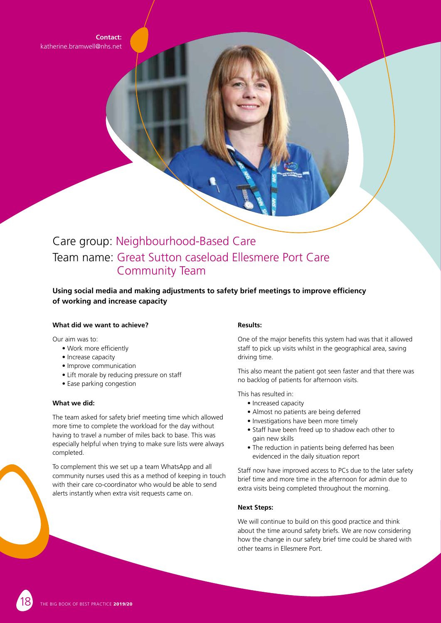**Contact:** katherine.bramwell@nhs.net

# Care group: Neighbourhood-Based Care Team name: Great Sutton caseload Ellesmere Port Care Community Team

**Using social media and making adjustments to safety brief meetings to improve efficiency of working and increase capacity**

#### **What did we want to achieve?**

Our aim was to:

- Work more efficiently
- Increase capacity
- Improve communication
- Lift morale by reducing pressure on staff
- Ease parking congestion

#### **What we did:**

The team asked for safety brief meeting time which allowed more time to complete the workload for the day without having to travel a number of miles back to base. This was especially helpful when trying to make sure lists were always completed.

To complement this we set up a team WhatsApp and all community nurses used this as a method of keeping in touch with their care co-coordinator who would be able to send alerts instantly when extra visit requests came on.

#### **Results:**

One of the major benefits this system had was that it allowed staff to pick up visits whilst in the geographical area, saving driving time.

This also meant the patient got seen faster and that there was no backlog of patients for afternoon visits.

This has resulted in:

- Increased capacity
- Almost no patients are being deferred
- Investigations have been more timely
- Staff have been freed up to shadow each other to gain new skills
- The reduction in patients being deferred has been evidenced in the daily situation report

Staff now have improved access to PCs due to the later safety brief time and more time in the afternoon for admin due to extra visits being completed throughout the morning.

#### **Next Steps:**

We will continue to build on this good practice and think about the time around safety briefs. We are now considering how the change in our safety brief time could be shared with other teams in Ellesmere Port.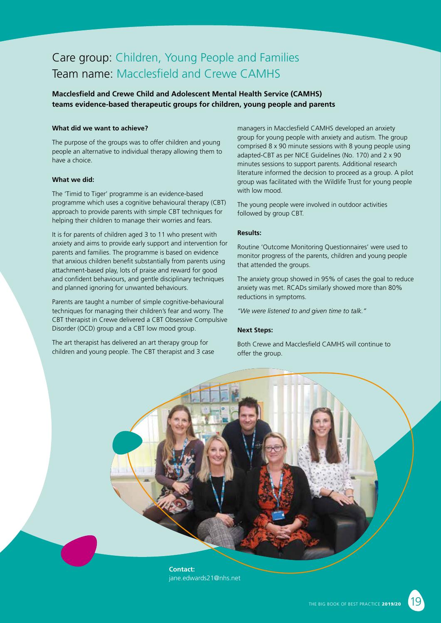# Care group: Children, Young People and Families Team name: Macclesfield and Crewe CAMHS

### **Macclesfield and Crewe Child and Adolescent Mental Health Service (CAMHS) teams evidence-based therapeutic groups for children, young people and parents**

#### **What did we want to achieve?**

The purpose of the groups was to offer children and young people an alternative to individual therapy allowing them to have a choice.

#### **What we did:**

The 'Timid to Tiger' programme is an evidence-based programme which uses a cognitive behavioural therapy (CBT) approach to provide parents with simple CBT techniques for helping their children to manage their worries and fears.

It is for parents of children aged 3 to 11 who present with anxiety and aims to provide early support and intervention for parents and families. The programme is based on evidence that anxious children benefit substantially from parents using attachment-based play, lots of praise and reward for good and confident behaviours, and gentle disciplinary techniques and planned ignoring for unwanted behaviours.

Parents are taught a number of simple cognitive-behavioural techniques for managing their children's fear and worry. The CBT therapist in Crewe delivered a CBT Obsessive Compulsive Disorder (OCD) group and a CBT low mood group.

The art therapist has delivered an art therapy group for children and young people. The CBT therapist and 3 case

managers in Macclesfield CAMHS developed an anxiety group for young people with anxiety and autism. The group comprised 8 x 90 minute sessions with 8 young people using adapted-CBT as per NICE Guidelines (No. 170) and 2 x 90 minutes sessions to support parents. Additional research literature informed the decision to proceed as a group. A pilot group was facilitated with the Wildlife Trust for young people with low mood.

The young people were involved in outdoor activities followed by group CBT.

#### **Results:**

Routine 'Outcome Monitoring Questionnaires' were used to monitor progress of the parents, children and young people that attended the groups.

The anxiety group showed in 95% of cases the goal to reduce anxiety was met. RCADs similarly showed more than 80% reductions in symptoms.

*"We were listened to and given time to talk."*

#### **Next Steps:**

Both Crewe and Macclesfield CAMHS will continue to offer the group.



jane.edwards21@nhs.net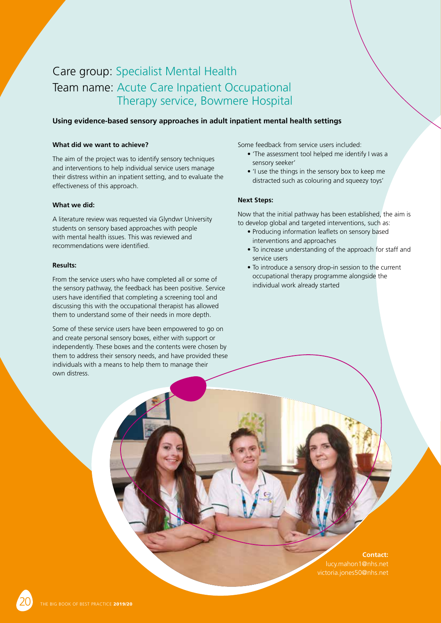# Care group: Specialist Mental Health Team name: Acute Care Inpatient Occupational Therapy service, Bowmere Hospital

### **Using evidence-based sensory approaches in adult inpatient mental health settings**

#### **What did we want to achieve?**

The aim of the project was to identify sensory techniques and interventions to help individual service users manage their distress within an inpatient setting, and to evaluate the effectiveness of this approach.

#### **What we did:**

A literature review was requested via Glyndwr University students on sensory based approaches with people with mental health issues. This was reviewed and recommendations were identified.

### **Results:**

From the service users who have completed all or some of the sensory pathway, the feedback has been positive. Service users have identified that completing a screening tool and discussing this with the occupational therapist has allowed them to understand some of their needs in more depth.

Some of these service users have been empowered to go on and create personal sensory boxes, either with support or independently. These boxes and the contents were chosen by them to address their sensory needs, and have provided these individuals with a means to help them to manage their own distress.

Some feedback from service users included:

- 'The assessment tool helped me identify I was a sensory seeker'
- 'I use the things in the sensory box to keep me distracted such as colouring and squeezy toys'

#### **Next Steps:**

Now that the initial pathway has been established, the aim is to develop global and targeted interventions, such as:

- Producing information leaflets on sensory based interventions and approaches
- To increase understanding of the approach for staff and service users
- To introduce a sensory drop-in session to the current occupational therapy programme alongside the individual work already started

#### **Contact:**

lucy.mahon1@nhs.net victoria.jones50@nhs.net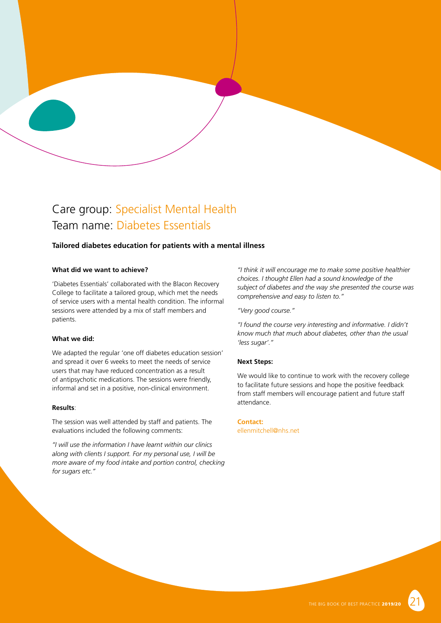# Care group: Specialist Mental Health Team name: Diabetes Essentials

#### **Tailored diabetes education for patients with a mental illness**

#### **What did we want to achieve?**

'Diabetes Essentials' collaborated with the Blacon Recovery College to facilitate a tailored group, which met the needs of service users with a mental health condition. The informal sessions were attended by a mix of staff members and patients.

#### **What we did:**

We adapted the regular 'one off diabetes education session' and spread it over 6 weeks to meet the needs of service users that may have reduced concentration as a result of antipsychotic medications. The sessions were friendly, informal and set in a positive, non-clinical environment.

#### **Results**:

The session was well attended by staff and patients. The evaluations included the following comments:

*"I will use the information I have learnt within our clinics along with clients I support. For my personal use, I will be more aware of my food intake and portion control, checking for sugars etc."*

*"I think it will encourage me to make some positive healthier choices. I thought Ellen had a sound knowledge of the subject of diabetes and the way she presented the course was comprehensive and easy to listen to."*

*"Very good course."*

*"I found the course very interesting and informative. I didn't know much that much about diabetes, other than the usual 'less sugar'."*

#### **Next Steps:**

We would like to continue to work with the recovery college to facilitate future sessions and hope the positive feedback from staff members will encourage patient and future staff attendance.

**Contact:** ellenmitchell@nhs.net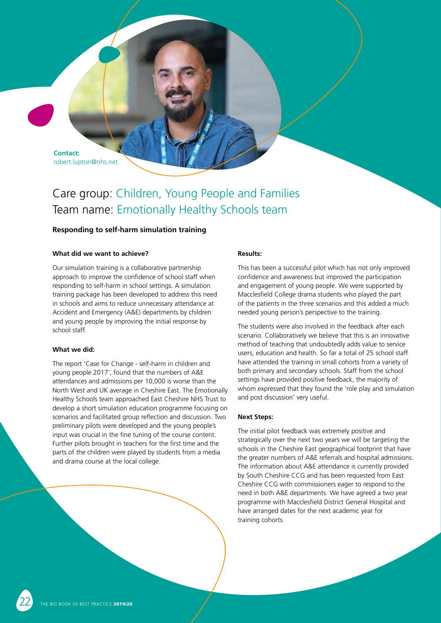**Contact:** robert.lupton@nhs.net

# Care group: Children, Young People and Families Team name: Emotionally Healthy Schools team

### **Responding to self-harm simulation training**

#### **What did we want to achieve?**

Our simulation training is a collaborative partnership approach to improve the confidence of school staff when responding to self-harm in school settings. A simulation training package has been developed to address this need in schools and aims to reduce unnecessary attendance at Accident and Emergency (A&E) departments by children and young people by improving the initial response by school staff.

#### **What we did:**

The report 'Case for Change - self-harm in children and young people 2017', found that the numbers of A&E attendances and admissions per 10,000 is worse than the North West and UK average in Cheshire East. The Emotionally Healthy Schools team approached East Cheshire NHS Trust to develop a short simulation education programme focusing on scenarios and facilitated group reflection and discussion. Two preliminary pilots were developed and the young people's input was crucial in the fine tuning of the course content. Further pilots brought in teachers for the first time and the parts of the children were played by students from a media and drama course at the local college.

#### **Results:**

This has been a successful pilot which has not only improved confidence and awareness but improved the participation and engagement of young people. We were supported by Macclesfield College drama students who played the part of the patients in the three scenarios and this added a much needed young person's perspective to the training.

The students were also involved in the feedback after each scenario. Collaboratively we believe that this is an innovative method of teaching that undoubtedly adds value to service users, education and health. So far a total of 25 school staff have attended the training in small cohorts from a variety of both primary and secondary schools. Staff from the school settings have provided positive feedback, the majority of whom expressed that they found the 'role play and simulation and post discussion' very useful.

#### **Next Steps:**

The initial pilot feedback was extremely positive and strategically over the next two years we will be targeting the schools in the Cheshire East geographical footprint that have the greater numbers of A&E referrals and hospital admissions. The information about A&E attendance is currently provided by South Cheshire CCG and has been requested from East Cheshire CCG with commissioners eager to respond to the need in both A&E departments. We have agreed a two year programme with Macclesfield District General Hospital and have arranged dates for the next academic year for training cohorts.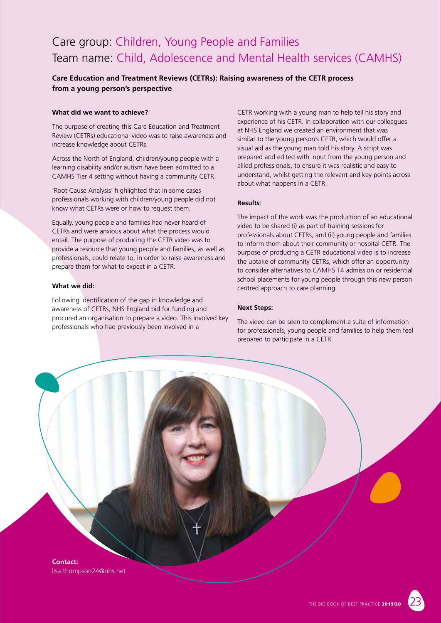# Care group: Children, Young People and Families Team name: Child, Adolescence and Mental Health services (CAMHS)

### **Care Education and Treatment Reviews (CETRs): Raising awareness of the CETR process from a young person's perspective**

#### **What did we want to achieve?**

The purpose of creating this Care Education and Treatment Review (CETRs) educational video was to raise awareness and increase knowledge about CETRs.

Across the North of England, children/young people with a learning disability and/or autism have been admitted to a CAMHS Tier 4 setting without having a community CETR.

'Root Cause Analysis' highlighted that in some cases professionals working with children/young people did not know what CETRs were or how to request them.

Equally, young people and families had never heard of CETRs and were anxious about what the process would entail. The purpose of producing the CETR video was to provide a resource that young people and families, as well as professionals, could relate to, in order to raise awareness and prepare them for what to expect in a CETR.

#### **What we did:**

Following identification of the gap in knowledge and awareness of CETRs, NHS England bid for funding and procured an organisation to prepare a video. This involved key professionals who had previously been involved in a

CETR working with a young man to help tell his story and experience of his CETR. In collaboration with our colleagues at NHS England we created an environment that was similar to the young person's CETR, which would offer a visual aid as the young man told his story. A script was prepared and edited with input from the young person and allied professionals, to ensure it was realistic and easy to understand, whilst getting the relevant and key points across about what happens in a CETR.

#### **Results**:

The impact of the work was the production of an educational video to be shared (i) as part of training sessions for professionals about CETRs, and (ii) young people and families to inform them about their community or hospital CETR. The purpose of producing a CETR educational video is to increase the uptake of community CETRs, which offer an opportunity to consider alternatives to CAMHS T4 admission or residential school placements for young people through this new person centred approach to care planning.

#### **Next Steps:**

The video can be seen to complement a suite of information for professionals, young people and families to help them feel prepared to participate in a CETR.

**Contact:** lisa.thompson24@nhs.net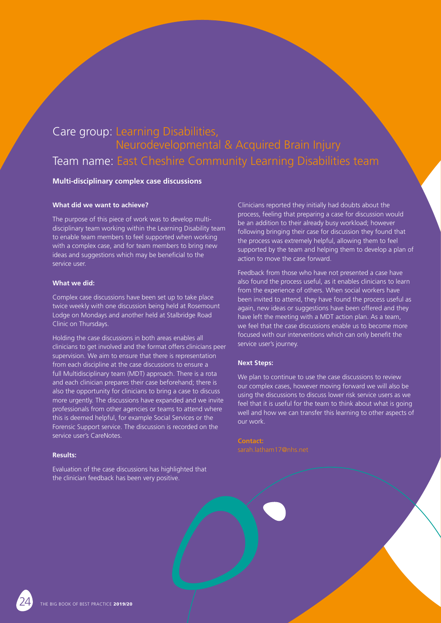# Care group: Learning Disabilities, Neurodevelopmental & Acquired Brain Injury Team name: East Cheshire Community Learning Disabilities team

#### **Multi-disciplinary complex case discussions**

#### **What did we want to achieve?**

The purpose of this piece of work was to develop multidisciplinary team working within the Learning Disability team to enable team members to feel supported when working with a complex case, and for team members to bring new ideas and suggestions which may be beneficial to the service user.

#### **What we did:**

Complex case discussions have been set up to take place twice weekly with one discussion being held at Rosemount Lodge on Mondays and another held at Stalbridge Road Clinic on Thursdays.

Holding the case discussions in both areas enables all clinicians to get involved and the format offers clinicians peer supervision. We aim to ensure that there is representation from each discipline at the case discussions to ensure a full Multidisciplinary team (MDT) approach. There is a rota and each clinician prepares their case beforehand; there is also the opportunity for clinicians to bring a case to discuss more urgently. The discussions have expanded and we invite professionals from other agencies or teams to attend where this is deemed helpful, for example Social Services or the Forensic Support service. The discussion is recorded on the service user's CareNotes.

#### **Results:**

Evaluation of the case discussions has highlighted that the clinician feedback has been very positive.

Clinicians reported they initially had doubts about the process, feeling that preparing a case for discussion would be an addition to their already busy workload; however following bringing their case for discussion they found that the process was extremely helpful, allowing them to feel supported by the team and helping them to develop a plan of action to move the case forward.

Feedback from those who have not presented a case have also found the process useful, as it enables clinicians to learn from the experience of others. When social workers have been invited to attend, they have found the process useful as again, new ideas or suggestions have been offered and they have left the meeting with a MDT action plan. As a team, we feel that the case discussions enable us to become more focused with our interventions which can only benefit the service user's journey.

#### **Next Steps:**

We plan to continue to use the case discussions to review our complex cases, however moving forward we will also be using the discussions to discuss lower risk service users as we feel that it is useful for the team to think about what is going well and how we can transfer this learning to other aspects of our work.

**Contact:**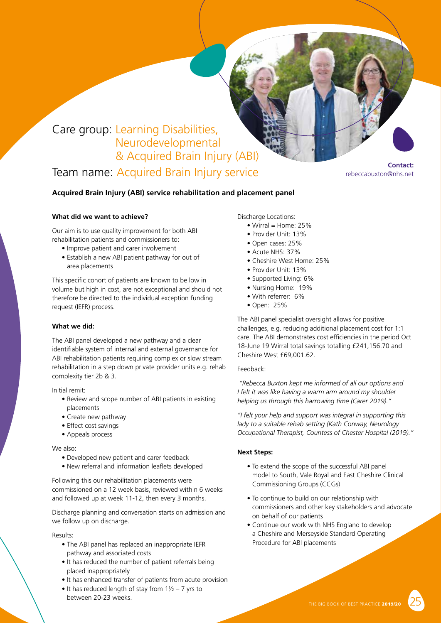Care group: Learning Disabilities, Neurodevelopmental & Acquired Brain Injury (ABI) Team name: Acquired Brain Injury service

### **Acquired Brain Injury (ABI) service rehabilitation and placement panel**

#### **What did we want to achieve?**

Our aim is to use quality improvement for both ABI rehabilitation patients and commissioners to:

- Improve patient and carer involvement
- Establish a new ABI patient pathway for out of area placements

This specific cohort of patients are known to be low in volume but high in cost, are not exceptional and should not therefore be directed to the individual exception funding request (IEFR) process.

#### **What we did:**

The ABI panel developed a new pathway and a clear identifiable system of internal and external governance for ABI rehabilitation patients requiring complex or slow stream rehabilitation in a step down private provider units e.g. rehab complexity tier 2b & 3.

Initial remit:

- Review and scope number of ABI patients in existing placements
- Create new pathway
- Effect cost savings
- Appeals process

We also:

- Developed new patient and carer feedback
- New referral and information leaflets developed

Following this our rehabilitation placements were commissioned on a 12 week basis, reviewed within 6 weeks and followed up at week 11-12, then every 3 months.

Discharge planning and conversation starts on admission and we follow up on discharge.

Results:

- The ABI panel has replaced an inappropriate IEFR pathway and associated costs
- It has reduced the number of patient referrals being placed inappropriately
- It has enhanced transfer of patients from acute provision
- It has reduced length of stay from  $1\frac{1}{2} 7$  yrs to between 20-23 weeks.

Discharge Locations:

- $\bullet$  Wirral = Home: 25%
- Provider Unit: 13%
- Open cases: 25%
- Acute NHS: 37%
- Cheshire West Home: 25%
- Provider Unit: 13%
- Supported Living: 6%
- Nursing Home: 19%
- With referrer: 6%
- Open: 25%

The ABI panel specialist oversight allows for positive challenges, e.g. reducing additional placement cost for 1:1 care. The ABI demonstrates cost efficiencies in the period Oct 18-June 19 Wirral total savings totalling £241,156.70 and Cheshire West £69,001.62.

**Contact:**

rebeccabuxton@nhs.net

#### Feedback:

*"Rebecca Buxton kept me informed of all our options and I felt it was like having a warm arm around my shoulder helping us through this harrowing time (Carer 2019)."* 

*"I felt your help and support was integral in supporting this lady to a suitable rehab setting (Kath Conway, Neurology Occupational Therapist, Countess of Chester Hospital (2019)."*

#### **Next Steps:**

- To extend the scope of the successful ABI panel model to South, Vale Royal and East Cheshire Clinical Commissioning Groups (CCGs)
- To continue to build on our relationship with commissioners and other key stakeholders and advocate on behalf of our patients
- Continue our work with NHS England to develop a Cheshire and Merseyside Standard Operating Procedure for ABI placements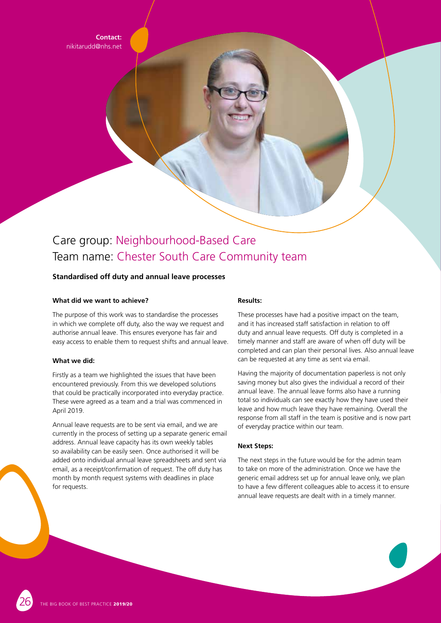#### **Contact:** nikitarudd@nhs.net

# Care group: Neighbourhood-Based Care Team name: Chester South Care Community team

#### **Standardised off duty and annual leave processes**

#### **What did we want to achieve?**

The purpose of this work was to standardise the processes in which we complete off duty, also the way we request and authorise annual leave. This ensures everyone has fair and easy access to enable them to request shifts and annual leave.

#### **What we did:**

Firstly as a team we highlighted the issues that have been encountered previously. From this we developed solutions that could be practically incorporated into everyday practice. These were agreed as a team and a trial was commenced in April 2019.

Annual leave requests are to be sent via email, and we are currently in the process of setting up a separate generic email address. Annual leave capacity has its own weekly tables so availability can be easily seen. Once authorised it will be added onto individual annual leave spreadsheets and sent via email, as a receipt/confirmation of request. The off duty has month by month request systems with deadlines in place for requests.

#### **Results:**

These processes have had a positive impact on the team, and it has increased staff satisfaction in relation to off duty and annual leave requests. Off duty is completed in a timely manner and staff are aware of when off duty will be completed and can plan their personal lives. Also annual leave can be requested at any time as sent via email.

Having the majority of documentation paperless is not only saving money but also gives the individual a record of their annual leave. The annual leave forms also have a running total so individuals can see exactly how they have used their leave and how much leave they have remaining. Overall the response from all staff in the team is positive and is now part of everyday practice within our team.

#### **Next Steps:**

The next steps in the future would be for the admin team to take on more of the administration. Once we have the generic email address set up for annual leave only, we plan to have a few different colleagues able to access it to ensure annual leave requests are dealt with in a timely manner.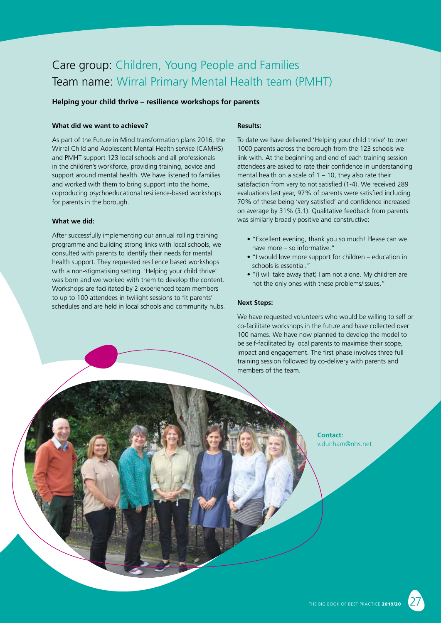# Care group: Children, Young People and Families Team name: Wirral Primary Mental Health team (PMHT)

### **Helping your child thrive – resilience workshops for parents**

#### **What did we want to achieve?**

As part of the Future in Mind transformation plans 2016, the Wirral Child and Adolescent Mental Health service (CAMHS) and PMHT support 123 local schools and all professionals in the children's workforce, providing training, advice and support around mental health. We have listened to families and worked with them to bring support into the home, coproducing psychoeducational resilience-based workshops for parents in the borough.

#### **What we did:**

After successfully implementing our annual rolling training programme and building strong links with local schools, we consulted with parents to identify their needs for mental health support. They requested resilience based workshops with a non-stigmatising setting. 'Helping your child thrive' was born and we worked with them to develop the content. Workshops are facilitated by 2 experienced team members to up to 100 attendees in twilight sessions to fit parents' schedules and are held in local schools and community hubs.

### **Results:**

To date we have delivered 'Helping your child thrive' to over 1000 parents across the borough from the 123 schools we link with. At the beginning and end of each training session attendees are asked to rate their confidence in understanding mental health on a scale of 1 – 10, they also rate their satisfaction from very to not satisfied (1-4). We received 289 evaluations last year, 97% of parents were satisfied including 70% of these being 'very satisfied' and confidence increased on average by 31% (3.1). Qualitative feedback from parents was similarly broadly positive and constructive:

- "Excellent evening, thank you so much! Please can we have more – so informative."
- "I would love more support for children education in schools is essential."
- "(I will take away that) I am not alone. My children are not the only ones with these problems/issues."

#### **Next Steps:**

We have requested volunteers who would be willing to self or co-facilitate workshops in the future and have collected over 100 names. We have now planned to develop the model to be self-facilitated by local parents to maximise their scope, impact and engagement. The first phase involves three full training session followed by co-delivery with parents and members of the team.

> **Contact:** v.dunham@nhs.net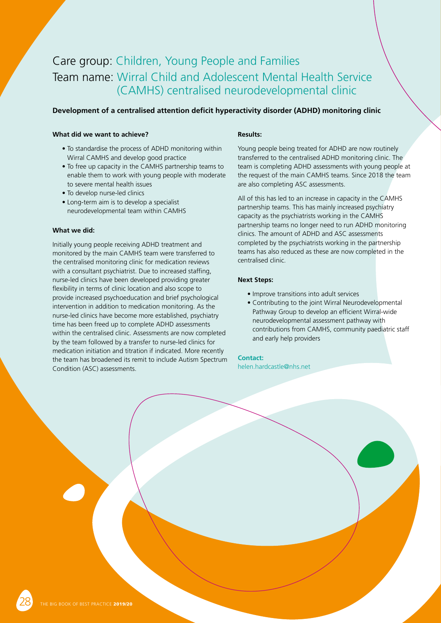### Care group: Children, Young People and Families Team name: Wirral Child and Adolescent Mental Health Service (CAMHS) centralised neurodevelopmental clinic

### **Development of a centralised attention deficit hyperactivity disorder (ADHD) monitoring clinic**

#### **What did we want to achieve?**

- To standardise the process of ADHD monitoring within Wirral CAMHS and develop good practice
- To free up capacity in the CAMHS partnership teams to enable them to work with young people with moderate to severe mental health issues
- To develop nurse-led clinics
- Long-term aim is to develop a specialist neurodevelopmental team within CAMHS

#### **What we did:**

Initially young people receiving ADHD treatment and monitored by the main CAMHS team were transferred to the centralised monitoring clinic for medication reviews with a consultant psychiatrist. Due to increased staffing, nurse-led clinics have been developed providing greater flexibility in terms of clinic location and also scope to provide increased psychoeducation and brief psychological intervention in addition to medication monitoring. As the nurse-led clinics have become more established, psychiatry time has been freed up to complete ADHD assessments within the centralised clinic. Assessments are now completed by the team followed by a transfer to nurse-led clinics for medication initiation and titration if indicated. More recently the team has broadened its remit to include Autism Spectrum Condition (ASC) assessments.

#### **Results:**

Young people being treated for ADHD are now routinely transferred to the centralised ADHD monitoring clinic. The team is completing ADHD assessments with young people at the request of the main CAMHS teams. Since 2018 the team are also completing ASC assessments.

All of this has led to an increase in capacity in the CAMHS partnership teams. This has mainly increased psychiatry capacity as the psychiatrists working in the CAMHS partnership teams no longer need to run ADHD monitoring clinics. The amount of ADHD and ASC assessments completed by the psychiatrists working in the partnership teams has also reduced as these are now completed in the centralised clinic.

#### **Next Steps:**

- Improve transitions into adult services
- Contributing to the joint Wirral Neurodevelopmental Pathway Group to develop an efficient Wirral-wide neurodevelopmental assessment pathway with contributions from CAMHS, community paediatric staff and early help providers

#### **Contact:**

helen.hardcastle@nhs.net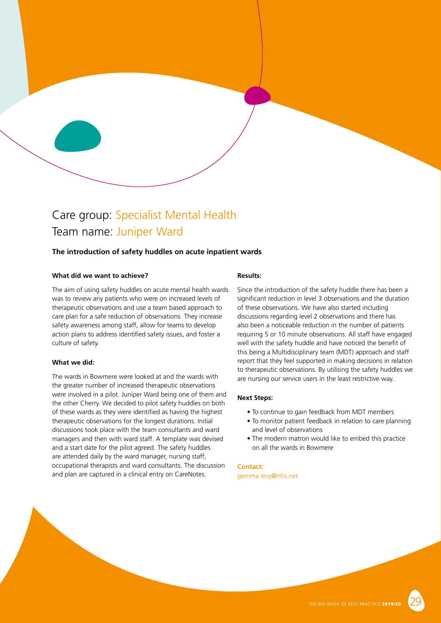# Care group: Specialist Mental Health Team name: Juniper Ward

#### **The introduction of safety huddles on acute inpatient wards**

#### **What did we want to achieve?**

The aim of using safety huddles on acute mental health wards was to review any patients who were on increased levels of therapeutic observations and use a team based approach to care plan for a safe reduction of observations. They increase safety awareness among staff, allow for teams to develop action plans to address identified safety issues, and foster a culture of safety.

#### **What we did:**

The wards in Bowmere were looked at and the wards with the greater number of increased therapeutic observations were involved in a pilot. Juniper Ward being one of them and the other Cherry. We decided to pilot safety huddles on both of these wards as they were identified as having the highest therapeutic observations for the longest durations. Initial discussions took place with the team consultants and ward managers and then with ward staff. A template was devised and a start date for the pilot agreed. The safety huddles are attended daily by the ward manager, nursing staff, occupational therapists and ward consultants. The discussion and plan are captured in a clinical entry on CareNotes.

#### **Results:**

Since the introduction of the safety huddle there has been a significant reduction in level 3 observations and the duration of these observations. We have also started including discussions regarding level 2 observations and there has also been a noticeable reduction in the number of patients requiring 5 or 10 minute observations. All staff have engaged well with the safety huddle and have noticed the benefit of this being a Multidisciplinary team (MDT) approach and staff report that they feel supported in making decisions in relation to therapeutic observations. By utilising the safety huddles we are nursing our service users in the least restrictive way.

#### **Next Steps:**

- To continue to gain feedback from MDT members
- To monitor patient feedback in relation to care planning and level of observations
- The modern matron would like to embed this practice on all the wards in Bowmere

### **Contact:** gemma.levy@nhs.net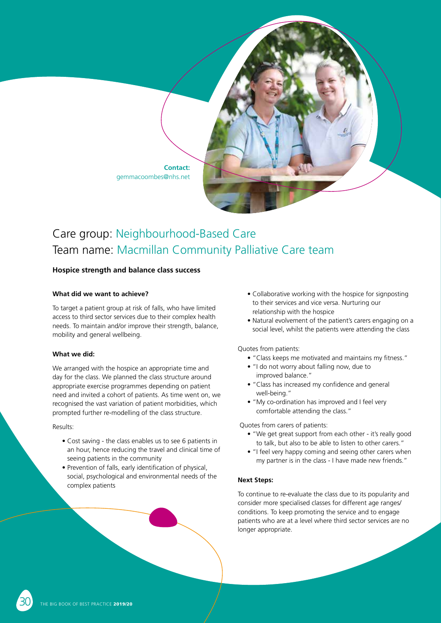

# Care group: Neighbourhood-Based Care Team name: Macmillan Community Palliative Care team

### **Hospice strength and balance class success**

#### **What did we want to achieve?**

To target a patient group at risk of falls, who have limited access to third sector services due to their complex health needs. To maintain and/or improve their strength, balance, mobility and general wellbeing.

#### **What we did:**

We arranged with the hospice an appropriate time and day for the class. We planned the class structure around appropriate exercise programmes depending on patient need and invited a cohort of patients. As time went on, we recognised the vast variation of patient morbidities, which prompted further re-modelling of the class structure.

#### Results:

- Cost saving the class enables us to see 6 patients in an hour, hence reducing the travel and clinical time of seeing patients in the community
- Prevention of falls, early identification of physical, social, psychological and environmental needs of the complex patients
- Collaborative working with the hospice for signposting to their services and vice versa. Nurturing our relationship with the hospice
- Natural evolvement of the patient's carers engaging on a social level, whilst the patients were attending the class

Quotes from patients:

- "Class keeps me motivated and maintains my fitness."
- "I do not worry about falling now, due to improved balance."
- "Class has increased my confidence and general well-being."
- "My co-ordination has improved and I feel very comfortable attending the class."

Quotes from carers of patients:

- "We get great support from each other it's really good to talk, but also to be able to listen to other carers."
- "I feel very happy coming and seeing other carers when my partner is in the class - I have made new friends."

#### **Next Steps:**

To continue to re-evaluate the class due to its popularity and consider more specialised classes for different age ranges/ conditions. To keep promoting the service and to engage patients who are at a level where third sector services are no longer appropriate.

30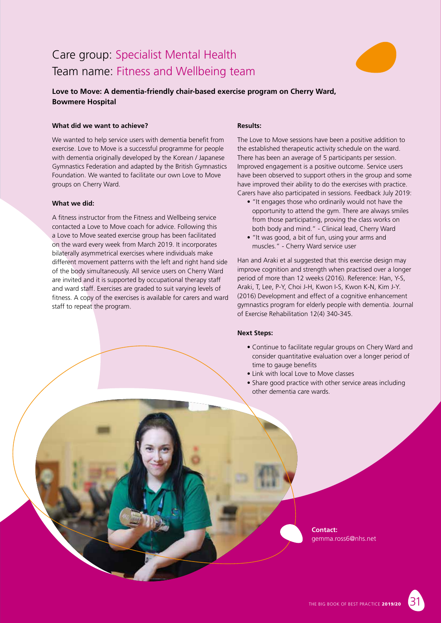# Care group: Specialist Mental Health Team name: Fitness and Wellbeing team



### **Love to Move: A dementia-friendly chair-based exercise program on Cherry Ward, Bowmere Hospital**

#### **What did we want to achieve?**

We wanted to help service users with dementia benefit from exercise. Love to Move is a successful programme for people with dementia originally developed by the Korean / Japanese Gymnastics Federation and adapted by the British Gymnastics Foundation. We wanted to facilitate our own Love to Move groups on Cherry Ward.

#### **What we did:**

A fitness instructor from the Fitness and Wellbeing service contacted a Love to Move coach for advice. Following this a Love to Move seated exercise group has been facilitated on the ward every week from March 2019. It incorporates bilaterally asymmetrical exercises where individuals make different movement patterns with the left and right hand side of the body simultaneously. All service users on Cherry Ward are invited and it is supported by occupational therapy staff and ward staff. Exercises are graded to suit varying levels of fitness. A copy of the exercises is available for carers and ward staff to repeat the program.

#### **Results:**

The Love to Move sessions have been a positive addition to the established therapeutic activity schedule on the ward. There has been an average of 5 participants per session. Improved engagement is a positive outcome. Service users have been observed to support others in the group and some have improved their ability to do the exercises with practice. Carers have also participated in sessions. Feedback July 2019:

- "It engages those who ordinarily would not have the opportunity to attend the gym. There are always smiles from those participating, proving the class works on both body and mind." - Clinical lead, Cherry Ward
- "It was good, a bit of fun, using your arms and muscles." - Cherry Ward service user

Han and Araki et al suggested that this exercise design may improve cognition and strength when practised over a longer period of more than 12 weeks (2016). Reference: Han, Y-S, Araki, T, Lee, P-Y, Choi J-H, Kwon I-S, Kwon K-N, Kim J-Y. (2016) Development and effect of a cognitive enhancement gymnastics program for elderly people with dementia. Journal of Exercise Rehabilitation 12(4) 340-345.

#### **Next Steps:**

- Continue to facilitate regular groups on Chery Ward and consider quantitative evaluation over a longer period of time to gauge benefits
- Link with local Love to Move classes
- Share good practice with other service areas including other dementia care wards.

**Contact:** gemma.ross6@nhs.net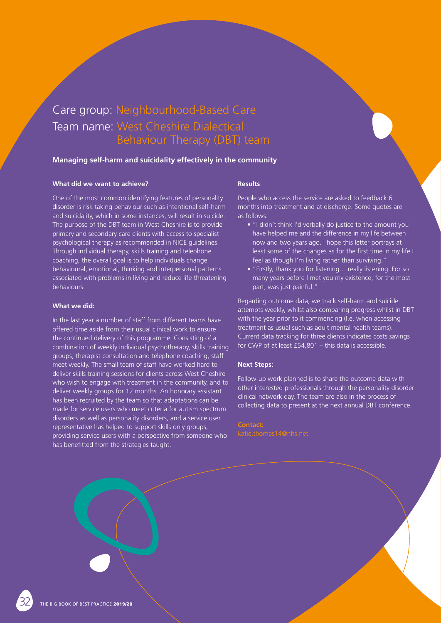## Care group: Neighbourhood-Based Care Team name: West Cheshire Dialectical Behaviour Therapy (DBT) team

### **Managing self-harm and suicidality effectively in the community**

#### **What did we want to achieve?**

One of the most common identifying features of personality disorder is risk taking behaviour such as intentional self-harm and suicidality, which in some instances, will result in suicide. The purpose of the DBT team in West Cheshire is to provide primary and secondary care clients with access to specialist psychological therapy as recommended in NICE guidelines. Through individual therapy, skills training and telephone coaching, the overall goal is to help individuals change behavioural, emotional, thinking and interpersonal patterns associated with problems in living and reduce life threatening behaviours.

#### **What we did:**

In the last year a number of staff from different teams have offered time aside from their usual clinical work to ensure the continued delivery of this programme. Consisting of a combination of weekly individual psychotherapy, skills training groups, therapist consultation and telephone coaching, staff meet weekly. The small team of staff have worked hard to deliver skills training sessions for clients across West Cheshire who wish to engage with treatment in the community, and to deliver weekly groups for 12 months. An honorary assistant has been recruited by the team so that adaptations can be made for service users who meet criteria for autism spectrum disorders as well as personality disorders, and a service user representative has helped to support skills only groups, providing service users with a perspective from someone who has benefitted from the strategies taught.

#### **Results**:

People who access the service are asked to feedback 6 months into treatment and at discharge. Some quotes are as follows:

- "I didn't think I'd verbally do justice to the amount you have helped me and the difference in my life between now and two years ago. I hope this letter portrays at least some of the changes as for the first time in my life I feel as though I'm living rather than surviving."
- "Firstly, thank you for listening… really listening. For so many years before I met you my existence, for the most part, was just painful."

Regarding outcome data, we track self-harm and suicide attempts weekly, whilst also comparing progress whilst in DBT with the year prior to it commencing (I.e. when accessing treatment as usual such as adult mental health teams). Current data tracking for three clients indicates costs savings for CWP of at least £54,801 – this data is accessible.

#### **Next Steps:**

Follow-up work planned is to share the outcome data with other interested professionals through the personality disorder clinical network day. The team are also in the process of collecting data to present at the next annual DBT conference.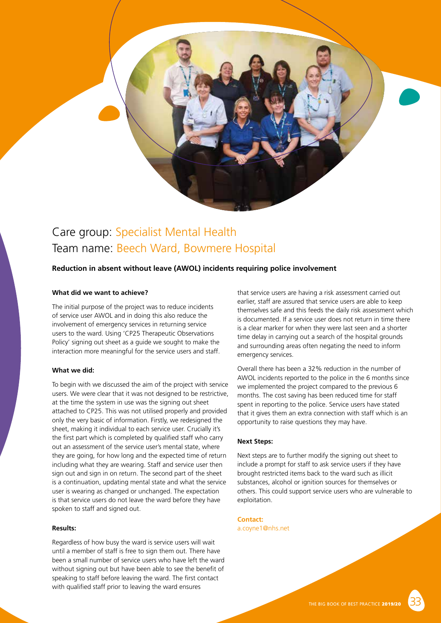

#### **Reduction in absent without leave (AWOL) incidents requiring police involvement**

#### **What did we want to achieve?**

The initial purpose of the project was to reduce incidents of service user AWOL and in doing this also reduce the involvement of emergency services in returning service users to the ward. Using 'CP25 Therapeutic Observations Policy' signing out sheet as a guide we sought to make the interaction more meaningful for the service users and staff.

#### **What we did:**

To begin with we discussed the aim of the project with service users. We were clear that it was not designed to be restrictive, at the time the system in use was the signing out sheet attached to CP25. This was not utilised properly and provided only the very basic of information. Firstly, we redesigned the sheet, making it individual to each service user. Crucially it's the first part which is completed by qualified staff who carry out an assessment of the service user's mental state, where they are going, for how long and the expected time of return including what they are wearing. Staff and service user then sign out and sign in on return. The second part of the sheet is a continuation, updating mental state and what the service user is wearing as changed or unchanged. The expectation is that service users do not leave the ward before they have spoken to staff and signed out.

#### **Results:**

Regardless of how busy the ward is service users will wait until a member of staff is free to sign them out. There have been a small number of service users who have left the ward without signing out but have been able to see the benefit of speaking to staff before leaving the ward. The first contact with qualified staff prior to leaving the ward ensures

that service users are having a risk assessment carried out earlier, staff are assured that service users are able to keep themselves safe and this feeds the daily risk assessment which is documented. If a service user does not return in time there is a clear marker for when they were last seen and a shorter time delay in carrying out a search of the hospital grounds and surrounding areas often negating the need to inform emergency services.

Overall there has been a 32% reduction in the number of AWOL incidents reported to the police in the 6 months since we implemented the project compared to the previous 6 months. The cost saving has been reduced time for staff spent in reporting to the police. Service users have stated that it gives them an extra connection with staff which is an opportunity to raise questions they may have.

#### **Next Steps:**

Next steps are to further modify the signing out sheet to include a prompt for staff to ask service users if they have brought restricted items back to the ward such as illicit substances, alcohol or ignition sources for themselves or others. This could support service users who are vulnerable to exploitation.

**Contact:** a.coyne1@nhs.net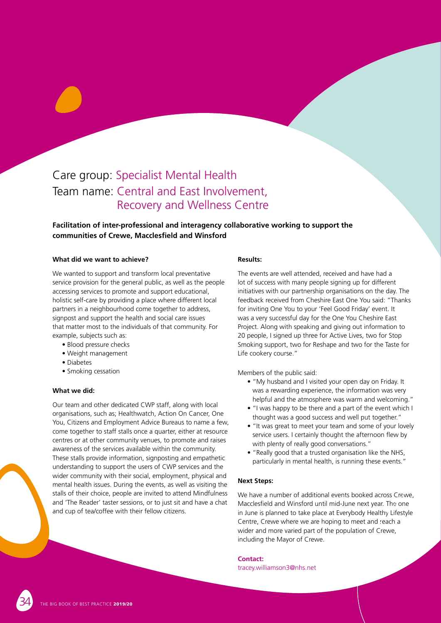# Care group: Specialist Mental Health Team name: Central and East Involvement, Recovery and Wellness Centre

### **Facilitation of inter-professional and interagency collaborative working to support the communities of Crewe, Macclesfield and Winsford**

#### **What did we want to achieve?**

We wanted to support and transform local preventative service provision for the general public, as well as the people accessing services to promote and support educational, holistic self-care by providing a place where different local partners in a neighbourhood come together to address, signpost and support the health and social care issues that matter most to the individuals of that community. For example, subjects such as:

- Blood pressure checks
- Weight management
- Diabetes
- Smoking cessation

#### **What we did:**

Our team and other dedicated CWP staff, along with local organisations, such as; Healthwatch, Action On Cancer, One You, Citizens and Employment Advice Bureaus to name a few, come together to staff stalls once a quarter, either at resource centres or at other community venues, to promote and raises awareness of the services available within the community. These stalls provide information, signposting and empathetic understanding to support the users of CWP services and the wider community with their social, employment, physical and mental health issues. During the events, as well as visiting the stalls of their choice, people are invited to attend Mindfulness and 'The Reader' taster sessions, or to just sit and have a chat and cup of tea/coffee with their fellow citizens.

#### **Results:**

The events are well attended, received and have had a lot of success with many people signing up for different initiatives with our partnership organisations on the day. The feedback received from Cheshire East One You said: "Thanks for inviting One You to your 'Feel Good Friday' event. It was a very successful day for the One You Cheshire East Project. Along with speaking and giving out information to 20 people, I signed up three for Active Lives, two for Stop Smoking support, two for Reshape and two for the Taste for Life cookery course."

Members of the public said:

- "My husband and I visited your open day on Friday. It was a rewarding experience, the information was very helpful and the atmosphere was warm and welcoming."
- "I was happy to be there and a part of the event which I thought was a good success and well put together."
- "It was great to meet your team and some of your lovely service users. I certainly thought the afternoon flew by with plenty of really good conversations."
- "Really good that a trusted organisation like the NHS, particularly in mental health, is running these events."

#### **Next Steps:**

We have a number of additional events booked across Crewe, Macclesfield and Winsford until mid-June next year. The one in June is planned to take place at Everybody Healthy Lifestyle Centre, Crewe where we are hoping to meet and reach a wider and more varied part of the population of Crewe, including the Mayor of Crewe.

**Contact:** tracey.williamson3@nhs.net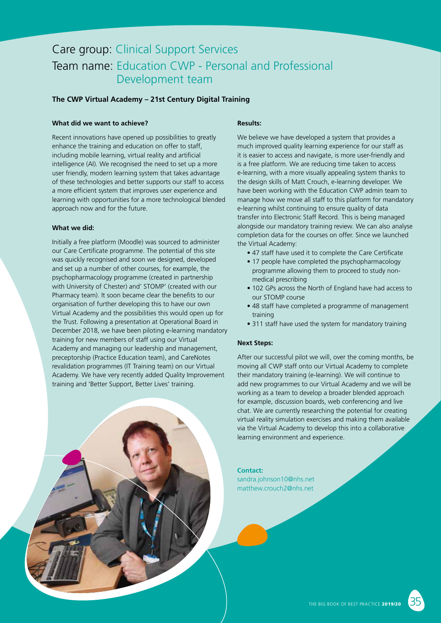# Care group: Clinical Support Services Team name: Education CWP - Personal and Professional Development team

### **The CWP Virtual Academy – 21st Century Digital Training**

### **What did we want to achieve?**

Recent innovations have opened up possibilities to greatly enhance the training and education on offer to staff, including mobile learning, virtual reality and artificial intelligence (AI). We recognised the need to set up a more user friendly, modern learning system that takes advantage of these technologies and better supports our staff to access a more efficient system that improves user experience and learning with opportunities for a more technological blended approach now and for the future.

#### **What we did:**

Initially a free platform (Moodle) was sourced to administer our Care Certificate programme. The potential of this site was quickly recognised and soon we designed, developed and set up a number of other courses, for example, the psychopharmacology programme (created in partnership with University of Chester) and' STOMP' (created with our Pharmacy team). It soon became clear the benefits to our organisation of further developing this to have our own Virtual Academy and the possibilities this would open up for the Trust. Following a presentation at Operational Board in December 2018, we have been piloting e-learning mandatory training for new members of staff using our Virtual Academy and managing our leadership and management, preceptorship (Practice Education team), and CareNotes revalidation programmes (IT Training team) on our Virtual Academy. We have very recently added Quality Improvement training and 'Better Support, Better Lives' training.

#### **Results:**

We believe we have developed a system that provides a much improved quality learning experience for our staff as it is easier to access and navigate, is more user-friendly and is a free platform. We are reducing time taken to access e-learning, with a more visually appealing system thanks to the design skills of Matt Crouch, e-learning developer. We have been working with the Education CWP admin team to manage how we move all staff to this platform for mandatory e-learning whilst continuing to ensure quality of data transfer into Electronic Staff Record. This is being managed alongside our mandatory training review. We can also analyse completion data for the courses on offer. Since we launched the Virtual Academy:

- 47 staff have used it to complete the Care Certificate
- 17 people have completed the psychopharmacology programme allowing them to proceed to study nonmedical prescribing
- 102 GPs across the North of England have had access to our STOMP course
- 48 staff have completed a programme of management training
- 311 staff have used the system for mandatory training

#### **Next Steps:**

After our successful pilot we will, over the coming months, be moving all CWP staff onto our Virtual Academy to complete their mandatory training (e-learning). We will continue to add new programmes to our Virtual Academy and we will be working as a team to develop a broader blended approach for example, discussion boards, web conferencing and live chat. We are currently researching the potential for creating virtual reality simulation exercises and making them available via the Virtual Academy to develop this into a collaborative learning environment and experience.

**Contact:** sandra.johnson10@nhs.net matthew.crouch2@nhs.net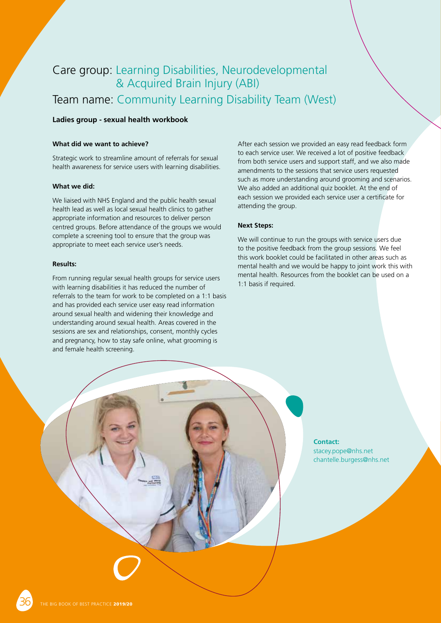## Care group: Learning Disabilities, Neurodevelopmental & Acquired Brain Injury (ABI) Team name: Community Learning Disability Team (West)

#### **Ladies group - sexual health workbook**

#### **What did we want to achieve?**

Strategic work to streamline amount of referrals for sexual health awareness for service users with learning disabilities.

#### **What we did:**

We liaised with NHS England and the public health sexual health lead as well as local sexual health clinics to gather appropriate information and resources to deliver person centred groups. Before attendance of the groups we would complete a screening tool to ensure that the group was appropriate to meet each service user's needs.

#### **Results:**

From running regular sexual health groups for service users with learning disabilities it has reduced the number of referrals to the team for work to be completed on a 1:1 basis and has provided each service user easy read information around sexual health and widening their knowledge and understanding around sexual health. Areas covered in the sessions are sex and relationships, consent, monthly cycles and pregnancy, how to stay safe online, what grooming is and female health screening.

After each session we provided an easy read feedback form to each service user. We received a lot of positive feedback from both service users and support staff, and we also made amendments to the sessions that service users requested such as more understanding around grooming and scenarios. We also added an additional quiz booklet. At the end of each session we provided each service user a certificate for attending the group.

#### **Next Steps:**

We will continue to run the groups with service users due to the positive feedback from the group sessions. We feel this work booklet could be facilitated in other areas such as mental health and we would be happy to joint work this with mental health. Resources from the booklet can be used on a 1:1 basis if required.

> **Contact:** stacey.pope@nhs.net chantelle.burgess@nhs.net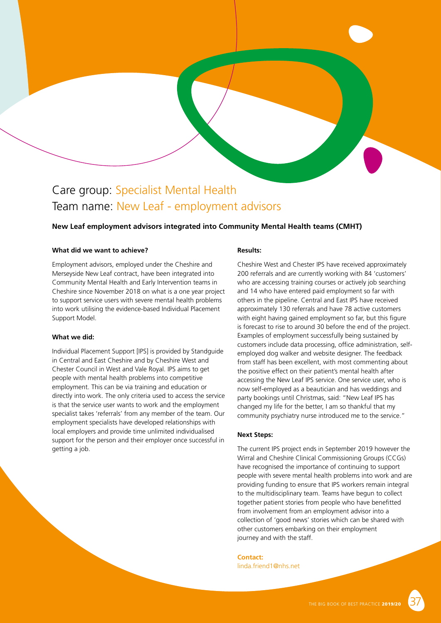# Care group: Specialist Mental Health Team name: New Leaf - employment advisors

### **New Leaf employment advisors integrated into Community Mental Health teams (CMHT)**

#### **What did we want to achieve?**

Employment advisors, employed under the Cheshire and Merseyside New Leaf contract, have been integrated into Community Mental Health and Early Intervention teams in Cheshire since November 2018 on what is a one year project to support service users with severe mental health problems into work utilising the evidence-based Individual Placement Support Model.

#### **What we did:**

Individual Placement Support [IPS] is provided by Standguide in Central and East Cheshire and by Cheshire West and Chester Council in West and Vale Royal. IPS aims to get people with mental health problems into competitive employment. This can be via training and education or directly into work. The only criteria used to access the service is that the service user wants to work and the employment specialist takes 'referrals' from any member of the team. Our employment specialists have developed relationships with local employers and provide time unlimited individualised support for the person and their employer once successful in getting a job.

#### **Results:**

Cheshire West and Chester IPS have received approximately 200 referrals and are currently working with 84 'customers' who are accessing training courses or actively job searching and 14 who have entered paid employment so far with others in the pipeline. Central and East IPS have received approximately 130 referrals and have 78 active customers with eight having gained employment so far, but this figure is forecast to rise to around 30 before the end of the project. Examples of employment successfully being sustained by customers include data processing, office administration, selfemployed dog walker and website designer. The feedback from staff has been excellent, with most commenting about the positive effect on their patient's mental health after accessing the New Leaf IPS service. One service user, who is now self-employed as a beautician and has weddings and party bookings until Christmas, said: "New Leaf IPS has changed my life for the better, I am so thankful that my community psychiatry nurse introduced me to the service."

#### **Next Steps:**

The current IPS project ends in September 2019 however the Wirral and Cheshire Clinical Commissioning Groups (CCGs) have recognised the importance of continuing to support people with severe mental health problems into work and are providing funding to ensure that IPS workers remain integral to the multidisciplinary team. Teams have begun to collect together patient stories from people who have benefitted from involvement from an employment advisor into a collection of 'good news' stories which can be shared with other customers embarking on their employment journey and with the staff.

**Contact:** linda.friend1@nhs.net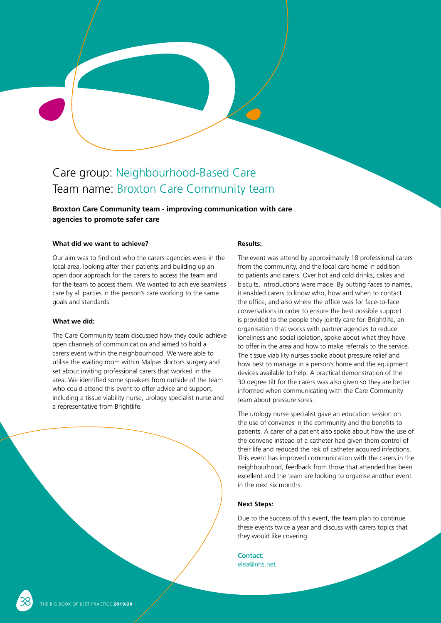## Care group: Neighbourhood-Based Care Team name: Broxton Care Community team

**Broxton Care Community team - improving communication with care agencies to promote safer care**

#### **What did we want to achieve?**

Our aim was to find out who the carers agencies were in the local area, looking after their patients and building up an open door approach for the carers to access the team and for the team to access them. We wanted to achieve seamless care by all parties in the person's care working to the same goals and standards.

#### **What we did:**

The Care Community team discussed how they could achieve open channels of communication and aimed to hold a carers event within the neighbourhood. We were able to utilise the waiting room within Malpas doctors surgery and set about inviting professional carers that worked in the area. We identified some speakers from outside of the team who could attend this event to offer advice and support, including a tissue viability nurse, urology specialist nurse and a representative from Brightlife.

#### **Results:**

The event was attend by approximately 18 professional carers from the community, and the local care home in addition to patients and carers. Over hot and cold drinks, cakes and biscuits, introductions were made. By putting faces to names, it enabled carers to know who, how and when to contact the office, and also where the office was for face-to-face conversations in order to ensure the best possible support is provided to the people they jointly care for. Brightlife, an organisation that works with partner agencies to reduce loneliness and social isolation, spoke about what they have to offer in the area and how to make referrals to the service. The tissue viability nurses spoke about pressure relief and how best to manage in a person's home and the equipment devices available to help. A practical demonstration of the 30 degree tilt for the carers was also given so they are better informed when communicating with the Care Community team about pressure sores.

The urology nurse specialist gave an education session on the use of convenes in the community and the benefits to patients. A carer of a patient also spoke about how the use of the convene instead of a catheter had given them control of their life and reduced the risk of catheter acquired infections. This event has improved communication with the carers in the neighbourhood, feedback from those that attended has been excellent and the team are looking to organise another event in the next six months.

#### **Next Steps:**

Due to the success of this event, the team plan to continue these events twice a year and discuss with carers topics that they would like covering.

**Contact:** elea@nhs.net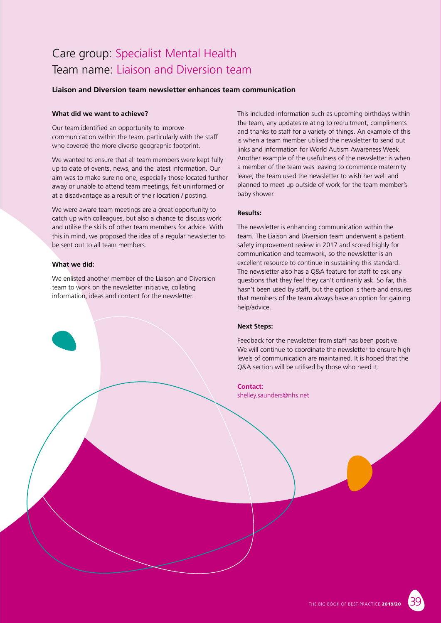# Care group: Specialist Mental Health Team name: Liaison and Diversion team

#### **Liaison and Diversion team newsletter enhances team communication**

#### **What did we want to achieve?**

Our team identified an opportunity to improve communication within the team, particularly with the staff who covered the more diverse geographic footprint.

We wanted to ensure that all team members were kept fully up to date of events, news, and the latest information. Our aim was to make sure no one, especially those located further away or unable to attend team meetings, felt uninformed or at a disadvantage as a result of their location / posting.

We were aware team meetings are a great opportunity to catch up with colleagues, but also a chance to discuss work and utilise the skills of other team members for advice. With this in mind, we proposed the idea of a regular newsletter to be sent out to all team members.

#### **What we did:**

We enlisted another member of the Liaison and Diversion team to work on the newsletter initiative, collating information, ideas and content for the newsletter.

This included information such as upcoming birthdays within the team, any updates relating to recruitment, compliments and thanks to staff for a variety of things. An example of this is when a team member utilised the newsletter to send out links and information for World Autism Awareness Week. Another example of the usefulness of the newsletter is when a member of the team was leaving to commence maternity leave; the team used the newsletter to wish her well and planned to meet up outside of work for the team member's baby shower.

#### **Results:**

The newsletter is enhancing communication within the team. The Liaison and Diversion team underwent a patient safety improvement review in 2017 and scored highly for communication and teamwork, so the newsletter is an excellent resource to continue in sustaining this standard. The newsletter also has a Q&A feature for staff to ask any questions that they feel they can't ordinarily ask. So far, this hasn't been used by staff, but the option is there and ensures that members of the team always have an option for gaining help/advice.

#### **Next Steps:**

Feedback for the newsletter from staff has been positive. We will continue to coordinate the newsletter to ensure high levels of communication are maintained. It is hoped that the Q&A section will be utilised by those who need it.

#### **Contact:**

shelley.saunders@nhs.net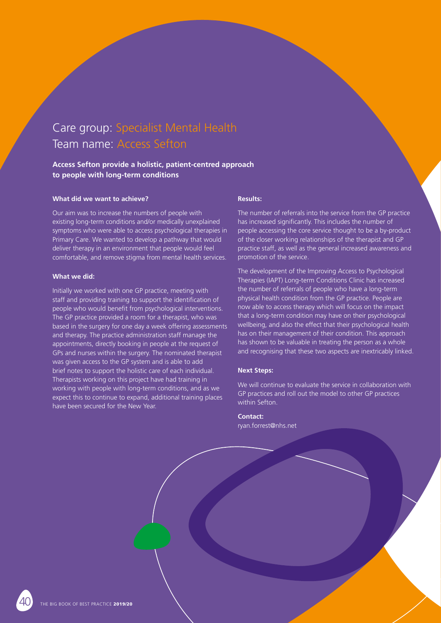# Care group: Specialist Mental Health Team name: Access Sefton

### **Access Sefton provide a holistic, patient-centred approach to people with long-term conditions**

#### **What did we want to achieve?**

Our aim was to increase the numbers of people with existing long-term conditions and/or medically unexplained symptoms who were able to access psychological therapies in Primary Care. We wanted to develop a pathway that would deliver therapy in an environment that people would feel comfortable, and remove stigma from mental health services.

#### **What we did:**

Initially we worked with one GP practice, meeting with staff and providing training to support the identification of people who would benefit from psychological interventions. The GP practice provided a room for a therapist, who was based in the surgery for one day a week offering assessments and therapy. The practice administration staff manage the appointments, directly booking in people at the request of GPs and nurses within the surgery. The nominated therapist was given access to the GP system and is able to add brief notes to support the holistic care of each individual. Therapists working on this project have had training in working with people with long-term conditions, and as we expect this to continue to expand, additional training places have been secured for the New Year.

#### **Results:**

The number of referrals into the service from the GP practice has increased significantly. This includes the number of people accessing the core service thought to be a by-product of the closer working relationships of the therapist and GP practice staff, as well as the general increased awareness and promotion of the service.

The development of the Improving Access to Psychological Therapies (IAPT) Long-term Conditions Clinic has increased the number of referrals of people who have a long-term physical health condition from the GP practice. People are now able to access therapy which will focus on the impact that a long-term condition may have on their psychological wellbeing, and also the effect that their psychological health has on their management of their condition. This approach has shown to be valuable in treating the person as a whole and recognising that these two aspects are inextricably linked.

#### **Next Steps:**

We will continue to evaluate the service in collaboration with GP practices and roll out the model to other GP practices within Sefton.

**Contact:** ryan.forrest@nhs.net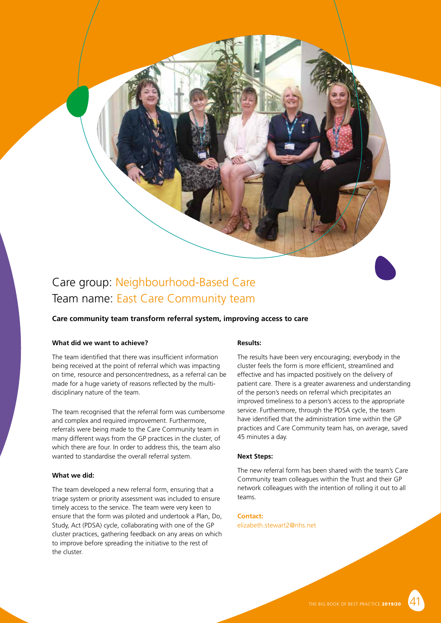

#### **Care community team transform referral system, improving access to care**

#### **What did we want to achieve?**

The team identified that there was insufficient information being received at the point of referral which was impacting on time, resource and personcentredness, as a referral can be made for a huge variety of reasons reflected by the multidisciplinary nature of the team.

The team recognised that the referral form was cumbersome and complex and required improvement. Furthermore, referrals were being made to the Care Community team in many different ways from the GP practices in the cluster, of which there are four. In order to address this, the team also wanted to standardise the overall referral system.

#### **What we did:**

The team developed a new referral form, ensuring that a triage system or priority assessment was included to ensure timely access to the service. The team were very keen to ensure that the form was piloted and undertook a Plan, Do, Study, Act (PDSA) cycle, collaborating with one of the GP cluster practices, gathering feedback on any areas on which to improve before spreading the initiative to the rest of the cluster.

#### **Results:**

The results have been very encouraging; everybody in the cluster feels the form is more efficient, streamlined and effective and has impacted positively on the delivery of patient care. There is a greater awareness and understanding of the person's needs on referral which precipitates an improved timeliness to a person's access to the appropriate service. Furthermore, through the PDSA cycle, the team have identified that the administration time within the GP practices and Care Community team has, on average, saved 45 minutes a day.

#### **Next Steps:**

The new referral form has been shared with the team's Care Community team colleagues within the Trust and their GP network colleagues with the intention of rolling it out to all teams.

#### **Contact:** elizabeth.stewart2@nhs.net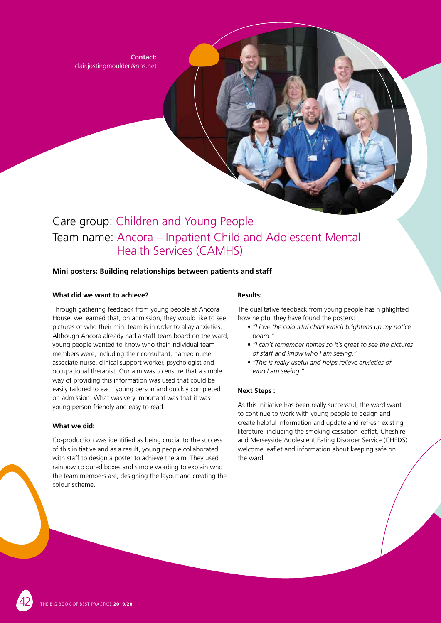**Contact:** clair.jostingmoulder@nhs.net

# Care group: Children and Young People Team name: Ancora – Inpatient Child and Adolescent Mental Health Services (CAMHS)

### **Mini posters: Building relationships between patients and staff**

#### **What did we want to achieve?**

Through gathering feedback from young people at Ancora House, we learned that, on admission, they would like to see pictures of who their mini team is in order to allay anxieties. Although Ancora already had a staff team board on the ward, young people wanted to know who their individual team members were, including their consultant, named nurse, associate nurse, clinical support worker, psychologist and occupational therapist. Our aim was to ensure that a simple way of providing this information was used that could be easily tailored to each young person and quickly completed on admission. What was very important was that it was young person friendly and easy to read.

#### **What we did:**

Co-production was identified as being crucial to the success of this initiative and as a result, young people collaborated with staff to design a poster to achieve the aim. They used rainbow coloured boxes and simple wording to explain who the team members are, designing the layout and creating the colour scheme.

### **Results:**

The qualitative feedback from young people has highlighted how helpful they have found the posters:

- *"I love the colourful chart which brightens up my notice board."*
- *"I can't remember names so it's great to see the pictures of staff and know who I am seeing."*
- *"This is really useful and helps relieve anxieties of who I am seeing."*

#### **Next Steps :**

As this initiative has been really successful, the ward want to continue to work with young people to design and create helpful information and update and refresh existing literature, including the smoking cessation leaflet, Cheshire and Merseyside Adolescent Eating Disorder Service (CHEDS) welcome leaflet and information about keeping safe on the ward.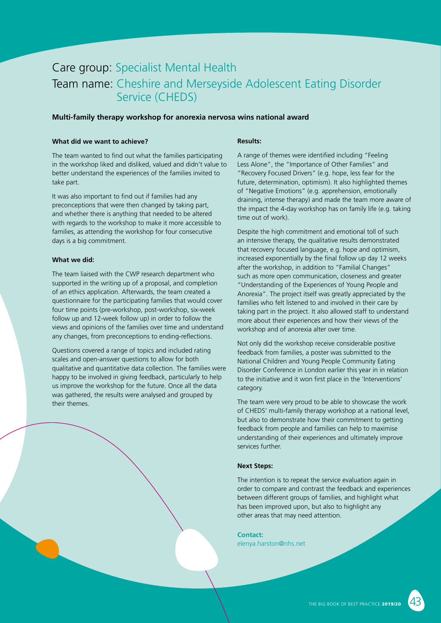## Care group: Specialist Mental Health Team name: Cheshire and Merseyside Adolescent Eating Disorder Service (CHEDS)

### **Multi-family therapy workshop for anorexia nervosa wins national award**

#### **What did we want to achieve?**

The team wanted to find out what the families participating in the workshop liked and disliked, valued and didn't value to better understand the experiences of the families invited to take part.

It was also important to find out if families had any preconceptions that were then changed by taking part, and whether there is anything that needed to be altered with regards to the workshop to make it more accessible to families, as attending the workshop for four consecutive days is a big commitment.

#### **What we did:**

The team liaised with the CWP research department who supported in the writing up of a proposal, and completion of an ethics application. Afterwards, the team created a questionnaire for the participating families that would cover four time points (pre-workshop, post-workshop, six-week follow up and 12-week follow up) in order to follow the views and opinions of the families over time and understand any changes, from preconceptions to ending-reflections.

Questions covered a range of topics and included rating scales and open-answer questions to allow for both qualitative and quantitative data collection. The families were happy to be involved in giving feedback, particularly to help us improve the workshop for the future. Once all the data was gathered, the results were analysed and grouped by their themes.

#### **Results:**

A range of themes were identified including "Feeling Less Alone", the "Importance of Other Families" and "Recovery Focused Drivers" (e.g. hope, less fear for the future, determination, optimism). It also highlighted themes of "Negative Emotions" (e.g. apprehension, emotionally draining, intense therapy) and made the team more aware of the impact the 4-day workshop has on family life (e.g. taking time out of work).

Despite the high commitment and emotional toll of such an intensive therapy, the qualitative results demonstrated that recovery focused language, e.g. hope and optimism, increased exponentially by the final follow up day 12 weeks after the workshop, in addition to "Familial Changes" such as more open communication, closeness and greater "Understanding of the Experiences of Young People and Anorexia". The project itself was greatly appreciated by the families who felt listened to and involved in their care by taking part in the project. It also allowed staff to understand more about their experiences and how their views of the workshop and of anorexia alter over time.

Not only did the workshop receive considerable positive feedback from families, a poster was submitted to the National Children and Young People Community Eating Disorder Conference in London earlier this year in in relation to the initiative and it won first place in the 'Interventions' category.

The team were very proud to be able to showcase the work of CHEDS' multi-family therapy workshop at a national level, but also to demonstrate how their commitment to getting feedback from people and families can help to maximise understanding of their experiences and ultimately improve services further.

#### **Next Steps:**

The intention is to repeat the service evaluation again in order to compare and contrast the feedback and experiences between different groups of families, and highlight what has been improved upon, but also to highlight any other areas that may need attention.

**Contact:** elenya.harston@nhs.net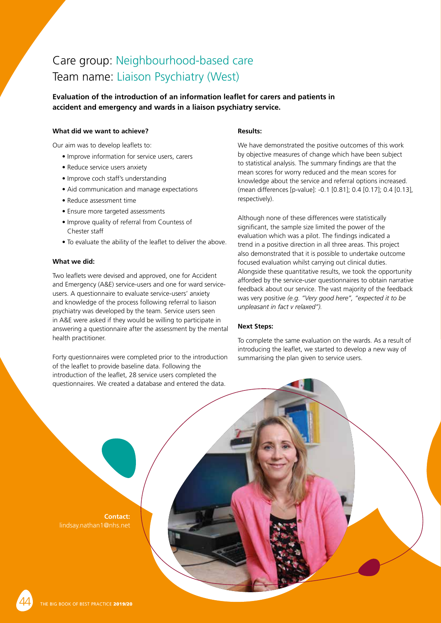# Care group: Neighbourhood-based care Team name: Liaison Psychiatry (West)

**Evaluation of the introduction of an information leaflet for carers and patients in accident and emergency and wards in a liaison psychiatry service.**

#### **What did we want to achieve?**

Our aim was to develop leaflets to:

- Improve information for service users, carers
- Reduce service users anxiety
- Improve coch staff's understanding
- Aid communication and manage expectations
- Reduce assessment time
- Ensure more targeted assessments
- Improve quality of referral from Countess of Chester staff
- To evaluate the ability of the leaflet to deliver the above.

#### **What we did:**

Two leaflets were devised and approved, one for Accident and Emergency (A&E) service-users and one for ward serviceusers. A questionnaire to evaluate service-users' anxiety and knowledge of the process following referral to liaison psychiatry was developed by the team. Service users seen in A&E were asked if they would be willing to participate in answering a questionnaire after the assessment by the mental health practitioner.

Forty questionnaires were completed prior to the introduction of the leaflet to provide baseline data. Following the introduction of the leaflet, 28 service users completed the questionnaires. We created a database and entered the data.

#### **Results:**

We have demonstrated the positive outcomes of this work by objective measures of change which have been subject to statistical analysis. The summary findings are that the mean scores for worry reduced and the mean scores for knowledge about the service and referral options increased. (mean differences [p-value]: -0.1 [0.81]; 0.4 [0.17]; 0.4 [0.13], respectively).

Although none of these differences were statistically significant, the sample size limited the power of the evaluation which was a pilot. The findings indicated a trend in a positive direction in all three areas. This project also demonstrated that it is possible to undertake outcome focused evaluation whilst carrying out clinical duties. Alongside these quantitative results, we took the opportunity afforded by the service-user questionnaires to obtain narrative feedback about our service. The vast majority of the feedback was very positive *(e.g. "Very good here", "expected it to be unpleasant in fact v relaxed").*

#### **Next Steps:**

To complete the same evaluation on the wards. As a result of introducing the leaflet, we started to develop a new way of summarising the plan given to service users.

**Contact:** lindsay.nathan1@nhs.net

44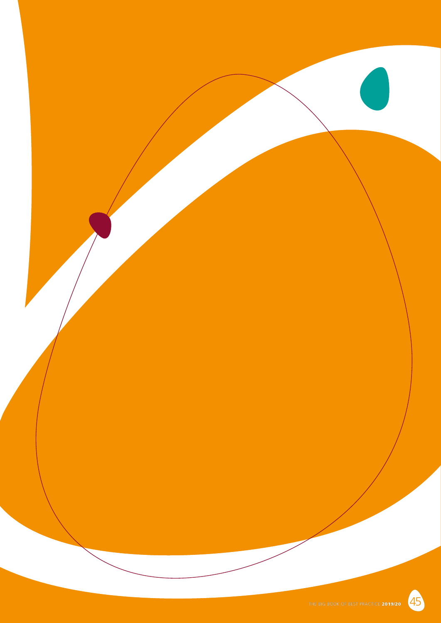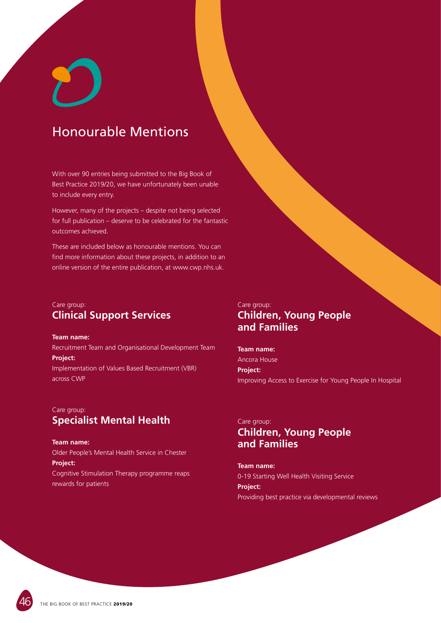# Honourable Mentions

With over 90 entries being submitted to the Big Book of Best Practice 2019/20, we have unfortunately been unable to include every entry.

However, many of the projects – despite not being selected for full publication – deserve to be celebrated for the fantastic outcomes achieved.

These are included below as honourable mentions. You can find more information about these projects, in addition to an online version of the entire publication, at www.cwp.nhs.uk.

### Care group: **Clinical Support Services**

**Team name:**  Recruitment Team and Organisational Development Team **Project:**  Implementation of Values Based Recruitment (VBR) across CWP

### Care group: **Specialist Mental Health**

**Team name:**  Older People's Mental Health Service in Chester **Project:**  Cognitive Stimulation Therapy programme reaps rewards for patients

### Care group: **Children, Young People and Families**

**Team name:** Ancora House **Project:**  Improving Access to Exercise for Young People In Hospital

### Care group: **Children, Young People and Families**

**Team name:** 0-19 Starting Well Health Visiting Service **Project:**  Providing best practice via developmental reviews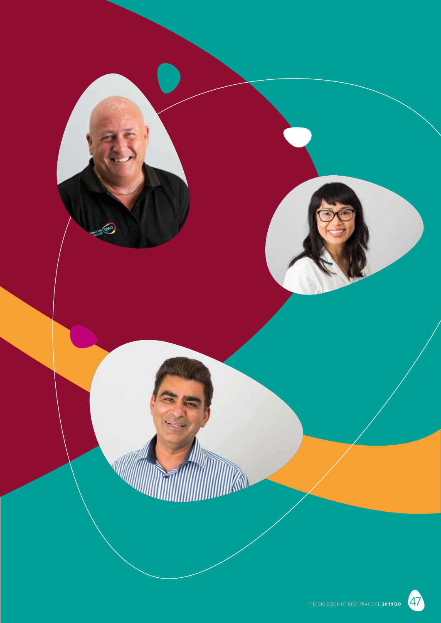